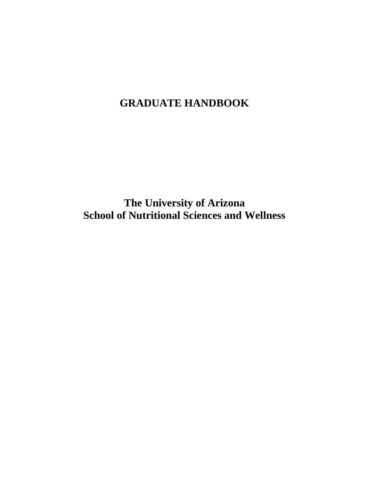# **GRADUATE HANDBOOK**

**The University of Arizona School of Nutritional Sciences and Wellness**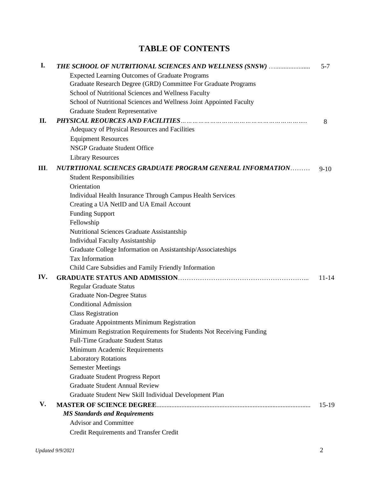# **TABLE OF CONTENTS**

| I.  | THE SCHOOL OF NUTRITIONAL SCIENCES AND WELLNESS (SNSW)               | $5 - 7$   |
|-----|----------------------------------------------------------------------|-----------|
|     | <b>Expected Learning Outcomes of Graduate Programs</b>               |           |
|     | Graduate Research Degree (GRD) Committee For Graduate Programs       |           |
|     | School of Nutritional Sciences and Wellness Faculty                  |           |
|     | School of Nutritional Sciences and Wellness Joint Appointed Faculty  |           |
|     | Graduate Student Representative                                      |           |
| II. |                                                                      | 8         |
|     | Adequacy of Physical Resources and Facilities                        |           |
|     | <b>Equipment Resources</b>                                           |           |
|     | NSGP Graduate Student Office                                         |           |
|     | <b>Library Resources</b>                                             |           |
| Ш.  | NUTRTIIONAL SCIENCES GRADUATE PROGRAM GENERAL INFORMATION            | $9 - 10$  |
|     | <b>Student Responsibilities</b>                                      |           |
|     | Orientation                                                          |           |
|     | Individual Health Insurance Through Campus Health Services           |           |
|     | Creating a UA NetID and UA Email Account                             |           |
|     | <b>Funding Support</b>                                               |           |
|     | Fellowship                                                           |           |
|     | Nutritional Sciences Graduate Assistantship                          |           |
|     | <b>Individual Faculty Assistantship</b>                              |           |
|     | Graduate College Information on Assistantship/Associateships         |           |
|     | <b>Tax Information</b>                                               |           |
|     | Child Care Subsidies and Family Friendly Information                 |           |
| IV. |                                                                      | $11 - 14$ |
|     | <b>Regular Graduate Status</b>                                       |           |
|     | <b>Graduate Non-Degree Status</b>                                    |           |
|     | <b>Conditional Admission</b>                                         |           |
|     | <b>Class Registration</b>                                            |           |
|     | Graduate Appointments Minimum Registration                           |           |
|     | Minimum Registration Requirements for Students Not Receiving Funding |           |
|     | <b>Full-Time Graduate Student Status</b>                             |           |
|     | Minimum Academic Requirements                                        |           |
|     | <b>Laboratory Rotations</b>                                          |           |
|     | <b>Semester Meetings</b>                                             |           |
|     | <b>Graduate Student Progress Report</b>                              |           |
|     | <b>Graduate Student Annual Review</b>                                |           |
|     | Graduate Student New Skill Individual Development Plan               |           |
| V.  |                                                                      | $15-19$   |
|     | <b>MS Standards and Requirements</b>                                 |           |
|     | <b>Advisor and Committee</b>                                         |           |
|     | Credit Requirements and Transfer Credit                              |           |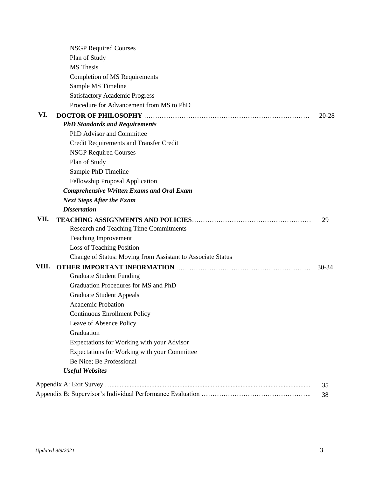|       | <b>NSGP Required Courses</b>                                |           |
|-------|-------------------------------------------------------------|-----------|
|       | Plan of Study                                               |           |
|       | <b>MS</b> Thesis                                            |           |
|       | <b>Completion of MS Requirements</b>                        |           |
|       | Sample MS Timeline                                          |           |
|       | <b>Satisfactory Academic Progress</b>                       |           |
|       | Procedure for Advancement from MS to PhD                    |           |
| VI.   |                                                             | 20-28     |
|       | <b>PhD Standards and Requirements</b>                       |           |
|       | PhD Advisor and Committee                                   |           |
|       | Credit Requirements and Transfer Credit                     |           |
|       | <b>NSGP Required Courses</b>                                |           |
|       | Plan of Study                                               |           |
|       | Sample PhD Timeline                                         |           |
|       | Fellowship Proposal Application                             |           |
|       | <b>Comprehensive Written Exams and Oral Exam</b>            |           |
|       | <b>Next Steps After the Exam</b>                            |           |
|       | <b>Dissertation</b>                                         |           |
| VII.  |                                                             | 29        |
|       | <b>Research and Teaching Time Commitments</b>               |           |
|       | <b>Teaching Improvement</b>                                 |           |
|       | Loss of Teaching Position                                   |           |
|       | Change of Status: Moving from Assistant to Associate Status |           |
| VIII. |                                                             | $30 - 34$ |
|       | <b>Graduate Student Funding</b>                             |           |
|       | Graduation Procedures for MS and PhD                        |           |
|       | <b>Graduate Student Appeals</b>                             |           |
|       | <b>Academic Probation</b>                                   |           |
|       | <b>Continuous Enrollment Policy</b>                         |           |
|       | Leave of Absence Policy                                     |           |
|       | Graduation                                                  |           |
|       | Expectations for Working with your Advisor                  |           |
|       | Expectations for Working with your Committee                |           |
|       | Be Nice; Be Professional                                    |           |
|       | <b>Useful Websites</b>                                      |           |
|       |                                                             | 35        |
|       |                                                             | 38        |
|       |                                                             |           |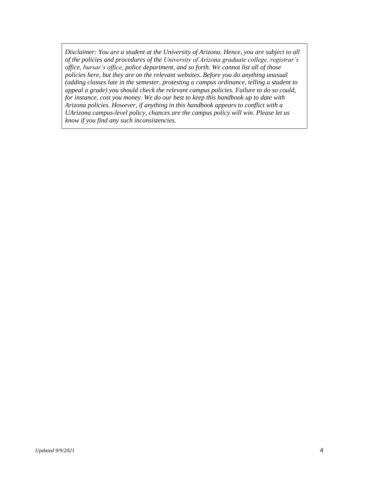*Disclaimer: You are a student at the University of Arizona. Hence, you are subject to all of the policies and procedures of the University of Arizona graduate college, registrar's office, bursar's office, police department, and so forth. We cannot list all of those policies here, but they are on the relevant websites. Before you do anything unusual (adding classes late in the semester, protesting a campus ordinance, telling a student to appeal a grade) you should check the relevant campus policies. Failure to do so could, for instance, cost you money. We do our best to keep this handbook up to date with Arizona policies. However, if anything in this handbook appears to conflict with a UArizona campus-level policy, chances are the campus policy will win. Please let us know if you find any such inconsistencies.*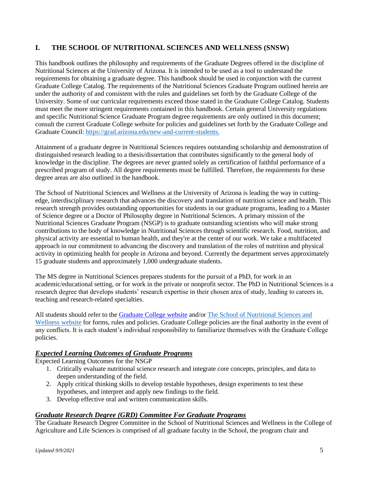# **I. THE SCHOOL OF NUTRITIONAL SCIENCES AND WELLNESS (SNSW)**

This handbook outlines the philosophy and requirements of the Graduate Degrees offered in the discipline of Nutritional Sciences at the University of Arizona. It is intended to be used as a tool to understand the requirements for obtaining a graduate degree. This handbook should be used in conjunction with the current Graduate College Catalog. The requirements of the Nutritional Sciences Graduate Program outlined herein are under the authority of and consistent with the rules and guidelines set forth by the Graduate College of the University. Some of our curricular requirements exceed those stated in the Graduate College Catalog. Students must meet the more stringent requirements contained in this handbook. Certain general University regulations and specific Nutritional Science Graduate Program degree requirements are only outlined in this document; consult the current Graduate College website for policies and guidelines set forth by the Graduate College and Graduate Council: [https://grad.arizona.edu/new-and-current-students.](https://grad.arizona.edu/new-and-current-students)

Attainment of a graduate degree in Nutritional Sciences requires outstanding scholarship and demonstration of distinguished research leading to a thesis/dissertation that contributes significantly to the general body of knowledge in the discipline. The degrees are never granted solely as certification of faithful performance of a prescribed program of study. All degree requirements must be fulfilled. Therefore, the requirements for these degree areas are also outlined in the handbook.

The School of Nutritional Sciences and Wellness at the University of Arizona is leading the way in cuttingedge, interdisciplinary research that advances the discovery and translation of nutrition science and health. This research strength provides outstanding opportunities for students in our graduate programs, leading to a Master of Science degree or a Doctor of Philosophy degree in Nutritional Sciences. A primary mission of the Nutritional Sciences Graduate Program (NSGP) is to graduate outstanding scientists who will make strong contributions to the body of knowledge in Nutritional Sciences through scientific research. Food, nutrition, and physical activity are essential to human health, and they're at the center of our work. We take a multifaceted approach in our commitment to advancing the discovery and translation of the roles of nutrition and physical activity in optimizing health for people in Arizona and beyond. Currently the department serves approximately 15 graduate students and approximately 1,000 undergraduate students.

The MS degree in Nutritional Sciences prepares students for the pursuit of a PhD, for work in an academic/educational setting, or for work in the private or nonprofit sector. The PhD in Nutritional Sciences is a research degree that develops students' research expertise in their chosen area of study, leading to careers in, teaching and research-related specialties.

All students should refer to the [Graduate College website](http://www.grad.arizona.edu/) and/or [The School of Nutritional Sciences and](https://nutrition.cals.arizona.edu/)  [Wellness website](https://nutrition.cals.arizona.edu/) for forms, rules and policies. Graduate College policies are the final authority in the event of any conflicts. It is each student's individual responsibility to familiarize themselves with the Graduate College policies.

# *Expected Learning Outcomes of Graduate Programs*

Expected Learning Outcomes for the NSGP

- 1. Critically evaluate nutritional science research and integrate core concepts, principles, and data to deepen understanding of the field.
- 2. Apply critical thinking skills to develop testable hypotheses, design experiments to test these hypotheses, and interpret and apply new findings to the field.
- 3. Develop effective oral and written communication skills.

# *Graduate Research Degree (GRD) Committee For Graduate Programs*

The Graduate Research Degree Committee in the School of Nutritional Sciences and Wellness in the College of Agriculture and Life Sciences is comprised of all graduate faculty in the School, the program chair and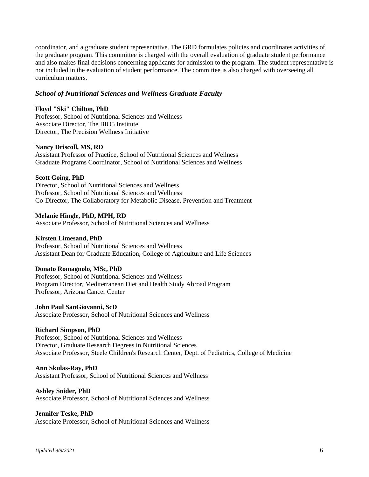coordinator, and a graduate student representative. The GRD formulates policies and coordinates activities of the graduate program. This committee is charged with the overall evaluation of graduate student performance and also makes final decisions concerning applicants for admission to the program. The student representative is not included in the evaluation of student performance. The committee is also charged with overseeing all curriculum matters.

#### *School of Nutritional Sciences and Wellness Graduate Faculty*

#### **Floyd "Ski" Chilton, PhD**

Professor, School of Nutritional Sciences and Wellness Associate Director, The BIO5 Institute Director, The Precision Wellness Initiative

#### **Nancy Driscoll, MS, RD**

Assistant Professor of Practice, School of Nutritional Sciences and Wellness Graduate Programs Coordinator, School of Nutritional Sciences and Wellness

#### **Scott Going, PhD**

Director, School of Nutritional Sciences and Wellness Professor, School of Nutritional Sciences and Wellness Co-Director, The Collaboratory for Metabolic Disease, Prevention and Treatment

# **Melanie Hingle, PhD, MPH, RD**

Associate Professor, School of Nutritional Sciences and Wellness

#### **Kirsten Limesand, PhD**

Professor, School of Nutritional Sciences and Wellness Assistant Dean for Graduate Education, College of Agriculture and Life Sciences

#### **Donato Romagnolo, MSc, PhD**

Professor, School of Nutritional Sciences and Wellness Program Director, Mediterranean Diet and Health Study Abroad Program Professor, Arizona Cancer Center

#### **John Paul SanGiovanni, ScD**

Associate Professor, School of Nutritional Sciences and Wellness

#### **Richard Simpson, PhD**

Professor, School of Nutritional Sciences and Wellness Director, Graduate Research Degrees in Nutritional Sciences Associate Professor, Steele Children's Research Center, Dept. of Pediatrics, College of Medicine

#### **Ann Skulas-Ray, PhD**

Assistant Professor, School of Nutritional Sciences and Wellness

#### **Ashley Snider, PhD**

Associate Professor, School of Nutritional Sciences and Wellness

#### **Jennifer Teske, PhD**

Associate Professor, School of Nutritional Sciences and Wellness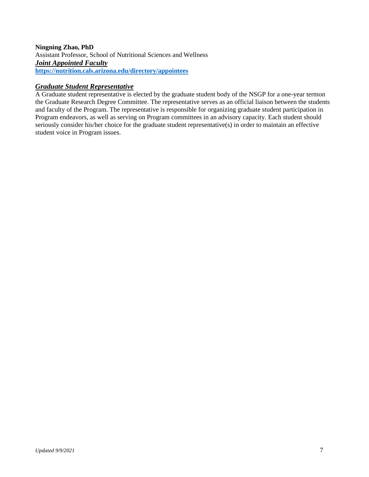# **Ningning Zhao, PhD**

Assistant Professor, School of Nutritional Sciences and Wellness *Joint Appointed Faculty*  **<https://nutrition.cals.arizona.edu/directory/appointees>**

# *Graduate Student Representative*

A Graduate student representative is elected by the graduate student body of the NSGP for a one-year termon the Graduate Research Degree Committee. The representative serves as an official liaison between the students and faculty of the Program. The representative is responsible for organizing graduate student participation in Program endeavors, as well as serving on Program committees in an advisory capacity. Each student should seriously consider his/her choice for the graduate student representative(s) in order to maintain an effective student voice in Program issues.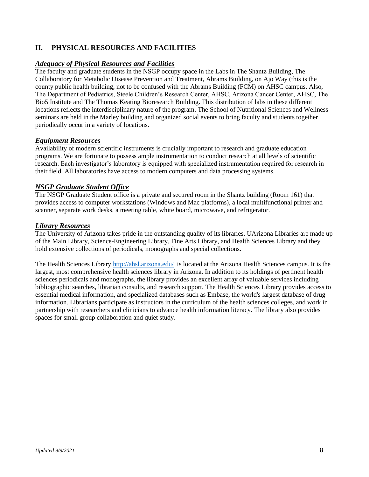# **II. PHYSICAL RESOURCES AND FACILITIES**

# *Adequacy of Physical Resources and Facilities*

The faculty and graduate students in the NSGP occupy space in the Labs in The Shantz Building, The Collaboratory for Metabolic Disease Prevention and Treatment, Abrams Building, on Ajo Way (this is the county public health building, not to be confused with the Abrams Building (FCM) on AHSC campus. Also, The Department of Pediatrics, Steele Children's Research Center, AHSC, Arizona Cancer Center, AHSC, The Bio5 Institute and The Thomas Keating Bioresearch Building. This distribution of labs in these different locations reflects the interdisciplinary nature of the program. The School of Nutritional Sciences and Wellness seminars are held in the Marley building and organized social events to bring faculty and students together periodically occur in a variety of locations.

# *Equipment Resources*

Availability of modern scientific instruments is crucially important to research and graduate education programs. We are fortunate to possess ample instrumentation to conduct research at all levels of scientific research. Each investigator's laboratory is equipped with specialized instrumentation required for research in their field. All laboratories have access to modern computers and data processing systems.

# *NSGP Graduate Student Office*

The NSGP Graduate Student office is a private and secured room in the Shantz building (Room 161) that provides access to computer workstations (Windows and Mac platforms), a local multifunctional printer and scanner, separate work desks, a meeting table, white board, microwave, and refrigerator.

# *Library Resources*

The University of Arizona takes pride in the outstanding quality of its libraries. UArizona Libraries are made up of the Main Library, Science-Engineering Library, Fine Arts Library, and Health Sciences Library and they hold extensive collections of periodicals, monographs and special collections.

The Health Sciences Library<http://ahsl.arizona.edu/>is located at the Arizona Health Sciences campus. It is the largest, most comprehensive health sciences library in Arizona. In addition to its holdings of pertinent health sciences periodicals and monographs, the library provides an excellent array of valuable services including bibliographic searches, librarian consults, and research support. The Health Sciences Library provides access to essential medical information, and specialized databases such as Embase, the world's largest database of drug information. Librarians participate as instructors in the curriculum of the health sciences colleges, and work in partnership with researchers and clinicians to advance health information literacy. The library also provides spaces for small group collaboration and quiet study.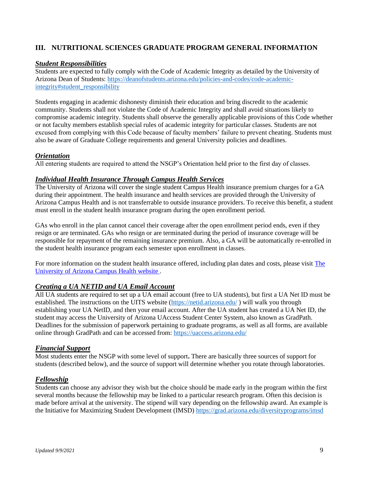# **III. NUTRITIONAL SCIENCES GRADUATE PROGRAM GENERAL INFORMATION**

# *Student Responsibilities*

Students are expected to fully comply with the Code of Academic Integrity as detailed by the University of Arizona Dean of Students: [https://deanofstudents.arizona.edu/policies-and-codes/code-academic](https://deanofstudents.arizona.edu/policies-and-codes/code-academic-integrity#student_responsibility)[integrity#student\\_responsibility](https://deanofstudents.arizona.edu/policies-and-codes/code-academic-integrity#student_responsibility)

Students engaging in academic dishonesty diminish their education and bring discredit to the academic community. Students shall not violate the Code of Academic Integrity and shall avoid situations likely to compromise academic integrity. Students shall observe the generally applicable provisions of this Code whether or not faculty members establish special rules of academic integrity for particular classes. Students are not excused from complying with this Code because of faculty members' failure to prevent cheating. Students must also be aware of Graduate College requirements and general University policies and deadlines.

#### *Orientation*

All entering students are required to attend the NSGP's Orientation held prior to the first day of classes.

#### *Individual Health Insurance Through Campus Health Services*

The University of Arizona will cover the single student Campus Health insurance premium charges for a GA during their appointment. The health insurance and health services are provided through the University of Arizona Campus Health and is not transferrable to outside insurance providers. To receive this benefit, a student must enroll in the student health insurance program during the open enrollment period.

GAs who enroll in the plan cannot cancel their coverage after the open enrollment period ends, even if they resign or are terminated. GAs who resign or are terminated during the period of insurance coverage will be responsible for repayment of the remaining insurance premium. Also, a GA will be automatically re-enrolled in the student health insurance program each semester upon enrollment in classes.

For more information on the student health insurance offered, including plan dates and costs, please visit [The](https://www.health.arizona.edu/student-health-insurance)  [University of Arizona Campus Health website .](https://www.health.arizona.edu/student-health-insurance)

# *Creating a UA NETID and UA Email Account*

All UA students are required to set up a UA email account (free to UA students), but first a UA Net ID must be established. The instructions on the UITS website [\(https://netid.arizona.edu/](https://netid.arizona.edu/) ) will walk you through establishing your UA NetID, and then your email account. After the UA student has created a UA Net ID, the student may access the University of Arizona UAccess Student Center System, also known as GradPath. Deadlines for the submission of paperwork pertaining to graduate programs, as well as all forms, are available online through GradPath and can be accessed from:<https://uaccess.arizona.edu/>

#### *Financial Support*

Most students enter the NSGP with some level of support**.** There are basically three sources of support for students (described below), and the source of support will determine whether you rotate through laboratories.

# *Fellowship*

Students can choose any advisor they wish but the choice should be made early in the program within the first several months because the fellowship may be linked to a particular research program. Often this decision is made before arrival at the university. The stipend will vary depending on the fellowship award. An example is the Initiative for Maximizing Student Development (IMSD)<https://grad.arizona.edu/diversityprograms/imsd>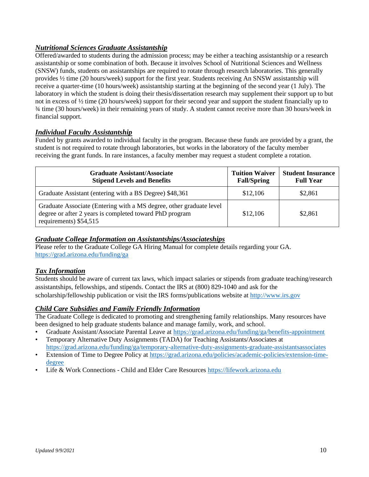# *Nutritional Sciences Graduate Assistantship*

Offered/awarded to students during the admission process; may be either a teaching assistantship or a research assistantship or some combination of both. Because it involves School of Nutritional Sciences and Wellness (SNSW) funds, students on assistantships are required to rotate through research laboratories. This generally provides ½ time (20 hours/week) support for the first year. Students receiving An SNSW assistantship will receive a quarter-time (10 hours/week) assistantship starting at the beginning of the second year (1 July). The laboratory in which the student is doing their thesis/dissertation research may supplement their support up to but not in excess of ½ time (20 hours/week) support for their second year and support the student financially up to ¾ time (30 hours/week) in their remaining years of study. A student cannot receive more than 30 hours/week in financial support.

# *Individual Faculty Assistantship*

Funded by grants awarded to individual faculty in the program. Because these funds are provided by a grant, the student is not required to rotate through laboratories, but works in the laboratory of the faculty member receiving the grant funds. In rare instances, a faculty member may request a student complete a rotation.

| <b>Graduate Assistant/Associate</b><br><b>Stipend Levels and Benefits</b>                                                                                 | <b>Tuition Waiver</b><br><b>Fall/Spring</b> | <b>Student Insurance</b><br><b>Full Year</b> |
|-----------------------------------------------------------------------------------------------------------------------------------------------------------|---------------------------------------------|----------------------------------------------|
| Graduate Assistant (entering with a BS Degree) \$48,361                                                                                                   | \$12,106                                    | \$2,861                                      |
| Graduate Associate (Entering with a MS degree, other graduate level)<br>degree or after 2 years is completed toward PhD program<br>requirements) \$54,515 | \$12,106                                    | \$2,861                                      |

# *Graduate College Information on Assistantships/Associateships*

Please refer to the Graduate College GA Hiring Manual for complete details regarding your GA. <https://grad.arizona.edu/funding/ga>

# *Tax Information*

Students should be aware of current tax laws, which impact salaries or stipends from graduate teaching/research assistantships, fellowships, and stipends. Contact the IRS at (800) 829-1040 and ask for the scholarship/fellowship publication or visit the IRS forms/publications website at [http://www.irs.gov](http://www.irs.gov/)

# *Child Care Subsidies and Family Friendly Information*

The Graduate College is dedicated to promoting and strengthening family relationships. Many resources have been designed to help graduate students balance and manage family, work, and school.

• Graduate Assistant/Associate Parental Leave at<https://grad.arizona.edu/funding/ga/benefits-appointment> • Temporary Alternative Duty Assignments (TADA) for Teaching Assistants/Associates at

<https://grad.arizona.edu/funding/ga/temporary-alternative-duty-assignments-graduate-assistantsassociates>

- Extension of Time to Degree Policy at [https://grad.arizona.edu/policies/academic-policies/extension-time](https://grad.arizona.edu/policies/academic-policies/extension-time-degree)[degree](https://grad.arizona.edu/policies/academic-policies/extension-time-degree)
- Life & Work Connections Child and Elder Care Resource[s https://lifework.arizona.edu](https://lifework.arizona.edu/)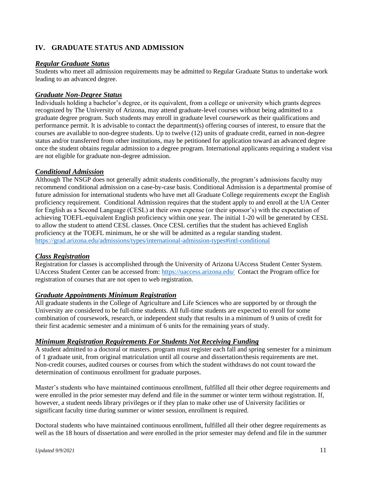# **IV. GRADUATE STATUS AND ADMISSION**

# *Regular Graduate Status*

Students who meet all admission requirements may be admitted to Regular Graduate Status to undertake work leading to an advanced degree.

#### *Graduate Non-Degree Status*

Individuals holding a bachelor's degree, or its equivalent, from a college or university which grants degrees recognized by The University of Arizona, may attend graduate-level courses without being admitted to a graduate degree program. Such students may enroll in graduate level coursework as their qualifications and performance permit. It is advisable to contact the department(s) offering courses of interest, to ensure that the courses are available to non-degree students. Up to twelve (12) units of graduate credit, earned in non-degree status and/or transferred from other institutions, may be petitioned for application toward an advanced degree once the student obtains regular admission to a degree program. International applicants requiring a student visa are not eligible for graduate non-degree admission.

#### *Conditional Admission*

Although The NSGP does not generally admit students conditionally, the program's admissions faculty may recommend conditional admission on a case-by-case basis. Conditional Admission is a departmental promise of future admission for international students who have met all Graduate College requirements *except* the English proficiency requirement. Conditional Admission requires that the student apply to and enroll at the UA Center for English as a Second Language (CESL) at their own expense (or their sponsor's) with the expectation of achieving TOEFL-equivalent English proficiency within one year. The initial 1-20 will be generated by CESL to allow the student to attend CESL classes. Once CESL certifies that the student has achieved English proficiency at the TOEFL minimum, he or she will be admitted as a regular standing student. <https://grad.arizona.edu/admissions/types/international-admission-types#intl-conditional>

# *Class Registration*

Registration for classes is accomplished through the University of Arizona UAccess Student Center System. UAccess Student Center can be accessed from:<https://uaccess.arizona.edu/>Contact the Program office for registration of courses that are not open to web registration.

#### *Graduate Appointments Minimum Registration*

All graduate students in the College of Agriculture and Life Sciences who are supported by or through the University are considered to be full-time students. All full-time students are expected to enroll for some combination of coursework, research, or independent study that results in a minimum of 9 units of credit for their first academic semester and a minimum of 6 units for the remaining years of study.

#### *Minimum Registration Requirements For Students Not Receiving Funding*

A student admitted to a doctoral or masters. program must register each fall and spring semester for a minimum of 1 graduate unit, from original matriculation until all course and dissertation/thesis requirements are met. Non-credit courses, audited courses or courses from which the student withdraws do not count toward the determination of continuous enrollment for graduate purposes.

Master's students who have maintained continuous enrollment, fulfilled all their other degree requirements and were enrolled in the prior semester may defend and file in the summer or winter term without registration. If, however, a student needs library privileges or if they plan to make other use of University facilities or significant faculty time during summer or winter session, enrollment is required.

Doctoral students who have maintained continuous enrollment, fulfilled all their other degree requirements as well as the 18 hours of dissertation and were enrolled in the prior semester may defend and file in the summer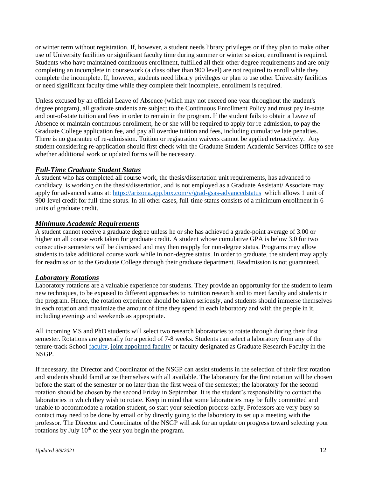or winter term without registration. If, however, a student needs library privileges or if they plan to make other use of University facilities or significant faculty time during summer or winter session, enrollment is required. Students who have maintained continuous enrollment, fulfilled all their other degree requirements and are only completing an incomplete in coursework (a class other than 900 level) are not required to enroll while they complete the incomplete. If, however, students need library privileges or plan to use other University facilities or need significant faculty time while they complete their incomplete, enrollment is required.

Unless excused by an official Leave of Absence (which may not exceed one year throughout the student's degree program), all graduate students are subject to the Continuous Enrollment Policy and must pay in-state and out-of-state tuition and fees in order to remain in the program. If the student fails to obtain a Leave of Absence or maintain continuous enrollment, he or she will be required to apply for re-admission, to pay the Graduate College application fee, and pay all overdue tuition and fees, including cumulative late penalties. There is no guarantee of re-admission. Tuition or registration waivers cannot be applied retroactively. Any student considering re-application should first check with the Graduate Student Academic Services Office to see whether additional work or updated forms will be necessary.

# *Full-Time Graduate Student Status*

A student who has completed all course work, the thesis/dissertation unit requirements, has advanced to candidacy, is working on the thesis/dissertation, and is not employed as a Graduate Assistant/ Associate may apply for advanced status at:<https://arizona.app.box.com/v/grad-gsas-advancedstatus>which allows 1 unit of 900-level credit for full-time status. In all other cases, full-time status consists of a minimum enrollment in 6 units of graduate credit.

#### *Minimum Academic Requirements*

A student cannot receive a graduate degree unless he or she has achieved a grade-point average of 3.00 or higher on all course work taken for graduate credit. A student whose cumulative GPA is below 3.0 for two consecutive semesters will be dismissed and may then reapply for non-degree status. Programs may allow students to take additional course work while in non-degree status. In order to graduate, the student may apply for readmission to the Graduate College through their graduate department. Readmission is not guaranteed.

# *Laboratory Rotations*

Laboratory rotations are a valuable experience for students. They provide an opportunity for the student to learn new techniques, to be exposed to different approaches to nutrition research and to meet faculty and students in the program. Hence, the rotation experience should be taken seriously, and students should immerse themselves in each rotation and maximize the amount of time they spend in each laboratory and with the people in it, including evenings and weekends as appropriate.

All incoming MS and PhD students will select two research laboratories to rotate through during their first semester. Rotations are generally for a period of 7-8 weeks. Students can select a laboratory from any of the tenure-track School [faculty,](https://nutrition.cals.arizona.edu/directory/faculty) [joint appointed faculty](https://nutrition.cals.arizona.edu/directory/appointees) or faculty designated as Graduate Research Faculty in the NSGP.

If necessary, the Director and Coordinator of the NSGP can assist students in the selection of their first rotation and students should familiarize themselves with all available. The laboratory for the first rotation will be chosen before the start of the semester or no later than the first week of the semester; the laboratory for the second rotation should be chosen by the second Friday in September. It is the student's responsibility to contact the laboratories in which they wish to rotate. Keep in mind that some laboratories may be fully committed and unable to accommodate a rotation student, so start your selection process early. Professors are very busy so contact may need to be done by email or by directly going to the laboratory to set up a meeting with the professor. The Director and Coordinator of the NSGP will ask for an update on progress toward selecting your rotations by July  $10<sup>th</sup>$  of the year you begin the program.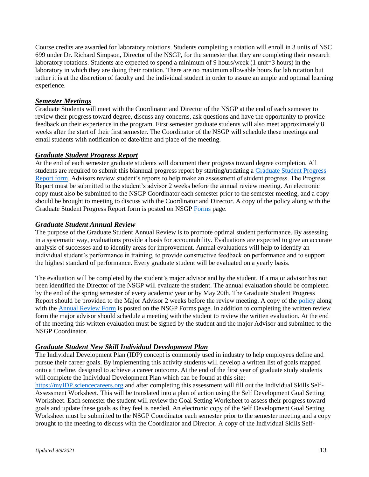Course credits are awarded for laboratory rotations. Students completing a rotation will enroll in 3 units of NSC 699 under Dr. Richard Simpson, Director of the NSGP, for the semester that they are completing their research laboratory rotations. Students are expected to spend a minimum of 9 hours/week (1 unit=3 hours) in the laboratory in which they are doing their rotation. There are no maximum allowable hours for lab rotation but rather it is at the discretion of faculty and the individual student in order to assure an ample and optimal learning experience.

# *Semester Meetings*

Graduate Students will meet with the Coordinator and Director of the NSGP at the end of each semester to review their progress toward degree, discuss any concerns, ask questions and have the opportunity to provide feedback on their experience in the program. First semester graduate students will also meet approximately 8 weeks after the start of their first semester. The Coordinator of the NSGP will schedule these meetings and email students with notification of date/time and place of the meeting.

#### *Graduate Student Progress Report*

At the end of each semester graduate students will document their progress toward degree completion. All students are required to submit this biannual progress report by starting/updating a [Graduate Student Progress](https://nutrition.cals.arizona.edu/sites/nutrition.cals.arizona.edu/files/NSGP%20Grad%20Student%20Progress%20Report.pdf)  [Report form.](https://nutrition.cals.arizona.edu/sites/nutrition.cals.arizona.edu/files/NSGP%20Grad%20Student%20Progress%20Report.pdf) Advisors review student's reports to help make an assessment of student progress. The Progress Report must be submitted to the student's advisor 2 weeks before the annual review meeting. An electronic copy must also be submitted to the NSGP Coordinator each semester prior to the semester meeting, and a copy should be brought to meeting to discuss with the Coordinator and Director. A copy of the policy along with the Graduate Student Progress Report form is posted on NSG[P Forms](https://nutrition.cals.arizona.edu/sites/nutrition.cals.arizona.edu/files/NSGP%20Graduate%20Student%20Progress%20Report%20Policy.pdf) page.

#### *Graduate Student Annual Review*

The purpose of the Graduate Student Annual Review is to promote optimal student performance. By assessing in a systematic way, evaluations provide a basis for accountability. Evaluations are expected to give an accurate analysis of successes and to identify areas for improvement. Annual evaluations will help to identify an individual student's performance in training, to provide constructive feedback on performance and to support the highest standard of performance. Every graduate student will be evaluated on a yearly basis.

The evaluation will be completed by the student's major advisor and by the student. If a major advisor has not been identified the Director of the NSGP will evaluate the student. The annual evaluation should be completed by the end of the spring semester of every academic year or by May 20th. The Graduate Student Progress Report should be provided to the Major Advisor 2 weeks before the review meeting. A copy of the [policy](https://nutrition.cals.arizona.edu/sites/nutrition.cals.arizona.edu/files/NSGP%20Graduate%20Student%20Annual%20Review%20Policy.pdf) along with the [Annual Review Form](https://nutrition.cals.arizona.edu/sites/nutrition.cals.arizona.edu/files/NSGP%20Graduate%20Student%20Annual%20Review%20Policy.pdf) is posted on the NSGP Forms page. In addition to completing the written review form the major advisor should schedule a meeting with the student to review the written evaluation. At the end of the meeting this written evaluation must be signed by the student and the major Advisor and submitted to the NSGP Coordinator.

# *Graduate Student New Skill Individual Development Plan*

The Individual Development Plan (IDP) concept is commonly used in industry to help employees define and pursue their career goals. By implementing this activity students will develop a written list of goals mapped onto a timeline, designed to achieve a career outcome. At the end of the first year of graduate study students will complete the Individual Development Plan which can be found at this site:

[https://myIDP.sciencecareers.org](https://myidp.sciencecareers.org/) and after completing this assessment will fill out the Individual Skills Self-Assessment Worksheet. This will be translated into a plan of action using the Self Development Goal Setting Worksheet. Each semester the student will review the Goal Setting Worksheet to assess their progress toward goals and update these goals as they feel is needed. An electronic copy of the Self Development Goal Setting Worksheet must be submitted to the NSGP Coordinator each semester prior to the semester meeting and a copy brought to the meeting to discuss with the Coordinator and Director. A copy of the Individual Skills Self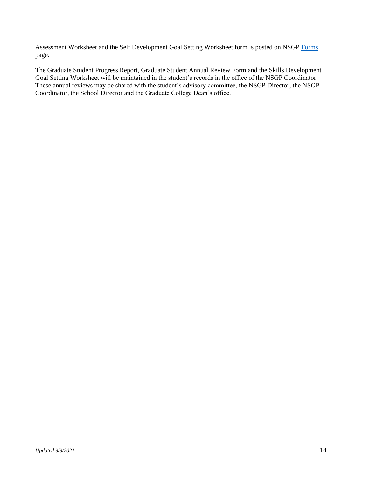Assessment Worksheet and the Self Development Goal Setting Worksheet form is posted on NSG[P Forms](https://nutrition.cals.arizona.edu/nsgp#current) page.

The Graduate Student Progress Report, Graduate Student Annual Review Form and the Skills Development Goal Setting Worksheet will be maintained in the student's records in the office of the NSGP Coordinator. These annual reviews may be shared with the student's advisory committee, the NSGP Director, the NSGP Coordinator, the School Director and the Graduate College Dean's office.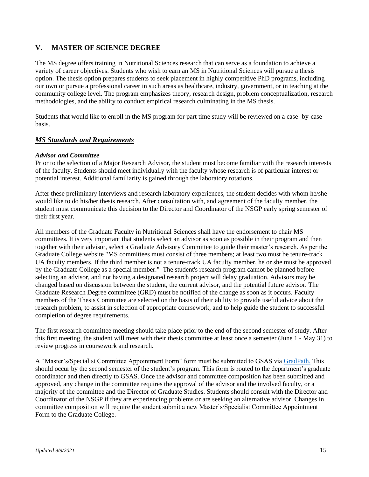# **V. MASTER OF SCIENCE DEGREE**

The MS degree offers training in Nutritional Sciences research that can serve as a foundation to achieve a variety of career objectives. Students who wish to earn an MS in Nutritional Sciences will pursue a thesis option. The thesis option prepares students to seek placement in highly competitive PhD programs, including our own or pursue a professional career in such areas as healthcare, industry, government, or in teaching at the community college level. The program emphasizes theory, research design, problem conceptualization, research methodologies, and the ability to conduct empirical research culminating in the MS thesis.

Students that would like to enroll in the MS program for part time study will be reviewed on a case- by-case basis.

# *MS Standards and Requirements*

#### *Advisor and Committee*

Prior to the selection of a Major Research Advisor, the student must become familiar with the research interests of the faculty. Students should meet individually with the faculty whose research is of particular interest or potential interest. Additional familiarity is gained through the laboratory rotations.

After these preliminary interviews and research laboratory experiences, the student decides with whom he/she would like to do his/her thesis research. After consultation with, and agreement of the faculty member, the student must communicate this decision to the Director and Coordinator of the NSGP early spring semester of their first year.

All members of the Graduate Faculty in Nutritional Sciences shall have the endorsement to chair MS committees. It is very important that students select an advisor as soon as possible in their program and then together with their advisor, select a Graduate Advisory Committee to guide their master's research. As per the Graduate College website "MS committees must consist of three members; at least two must be tenure-track UA faculty members. If the third member is not a tenure-track UA faculty member, he or she must be approved by the Graduate College as a special member." The student's research program cannot be planned before selecting an advisor, and not having a designated research project will delay graduation. Advisors may be changed based on discussion between the student, the current advisor, and the potential future advisor. The Graduate Research Degree committee (GRD) must be notified of the change as soon as it occurs. Faculty members of the Thesis Committee are selected on the basis of their ability to provide useful advice about the research problem, to assist in selection of appropriate coursework, and to help guide the student to successful completion of degree requirements.

The first research committee meeting should take place prior to the end of the second semester of study. After this first meeting, the student will meet with their thesis committee at least once a semester (June 1 - May 31) to review progress in coursework and research.

A "Master's/Specialist Committee Appointment Form" form must be submitted to GSAS via [GradPath.](http://grad.arizona.edu/gsas/gradpath) This should occur by the second semester of the student's program. This form is routed to the department's graduate coordinator and then directly to GSAS. Once the advisor and committee composition has been submitted and approved, any change in the committee requires the approval of the advisor and the involved faculty, or a majority of the committee and the Director of Graduate Studies. Students should consult with the Director and Coordinator of the NSGP if they are experiencing problems or are seeking an alternative advisor. Changes in committee composition will require the student submit a new Master's/Specialist Committee Appointment Form to the Graduate College.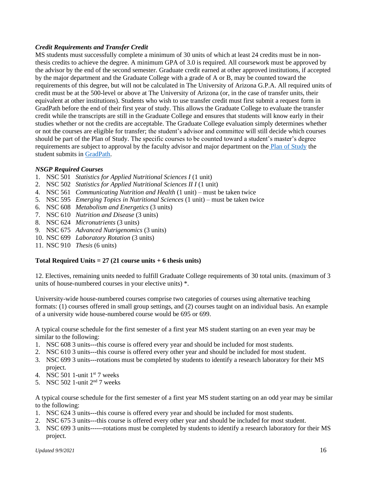# *Credit Requirements and Transfer Credit*

MS students must successfully complete a minimum of 30 units of which at least 24 credits must be in nonthesis credits to achieve the degree. A minimum GPA of 3.0 is required. All coursework must be approved by the advisor by the end of the second semester. Graduate credit earned at other approved institutions, if accepted by the major department and the Graduate College with a grade of A or B, may be counted toward the requirements of this degree, but will not be calculated in The University of Arizona G.P.A. All required units of credit must be at the 500-level or above at The University of Arizona (or, in the case of transfer units, their equivalent at other institutions). Students who wish to use transfer credit must first submit a request form in GradPath before the end of their first year of study. This allows the Graduate College to evaluate the transfer credit while the transcripts are still in the Graduate College and ensures that students will know early in their studies whether or not the credits are acceptable. The Graduate College evaluation simply determines whether or not the courses are eligible for transfer; the student's advisor and committee will still decide which courses should be part of the Plan of Study. The specific courses to be counted toward a student's master's degree requirements are subject to approval by the faculty advisor and major department on the [Plan of Study](https://grad.arizona.edu/gsas/degree-requirements/masters-degrees#plan-of-study) the student submits in [GradPath.](http://grad.arizona.edu/gsas/gradpath)

#### *NSGP Required Courses*

- 1. NSC 501 *Statistics for Applied Nutritional Sciences I* (1 unit)
- 2. NSC 502 *Statistics for Applied Nutritional Sciences II I* (1 unit)
- 4. NSC 561 *Communicating Nutrition and Health* (1 unit) must be taken twice
- 5. NSC 595 *Emerging Topics in Nutritional Sciences* (1 unit) must be taken twice
- 6. NSC 608 *Metabolism and Energetics* (3 units)
- 7. NSC 610 *Nutrition and Disease* (3 units)
- 8. NSC 624 *Micronutrients* (3 units)
- 9. NSC 675 *Advanced Nutrigenomics* (3 units)
- 10. NSC 699 *Laboratory Rotation* (3 units)
- 11. NSC 910 *Thesis* (6 units)

#### **Total Required Units = 27 (21 course units + 6 thesis units)**

12. Electives, remaining units needed to fulfill Graduate College requirements of 30 total units. (maximum of 3 units of house-numbered courses in your elective units) \*.

University-wide house-numbered courses comprise two categories of courses using alternative teaching formats: (1) courses offered in small group settings, and (2) courses taught on an individual basis. An example of a university wide house-numbered course would be 695 or 699.

A typical course schedule for the first semester of a first year MS student starting on an even year may be similar to the following:

- 1. NSC 608 3 units---this course is offered every year and should be included for most students.
- 2. NSC 610 3 units---this course is offered every other year and should be included for most student.
- 3. NSC 699 3 units---rotations must be completed by students to identify a research laboratory for their MS project.
- 4. NSC 501 1-unit  $1<sup>st</sup>$  7 weeks
- 5. NSC 502 1-unit  $2<sup>nd</sup>$  7 weeks

A typical course schedule for the first semester of a first year MS student starting on an odd year may be similar to the following:

- 1. NSC 624 3 units---this course is offered every year and should be included for most students.
- 2. NSC 675 3 units---this course is offered every other year and should be included for most student.
- 3. NSC 699 3 units------rotations must be completed by students to identify a research laboratory for their MS project.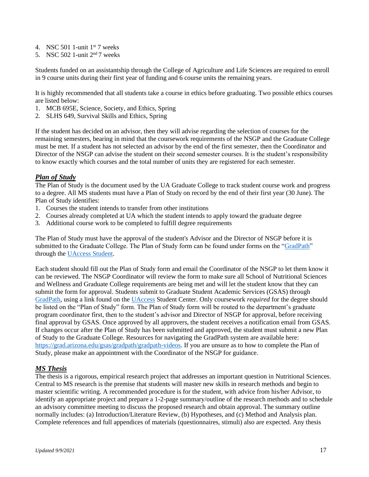- 4. NSC 501 1-unit  $1<sup>st</sup>$  7 weeks
- 5. NSC 502 1-unit  $2<sup>nd</sup> 7$  weeks

Students funded on an assistantship through the College of Agriculture and Life Sciences are required to enroll in 9 course units during their first year of funding and 6 course units the remaining years.

It is highly recommended that all students take a course in ethics before graduating. Two possible ethics courses are listed below:

- 1. MCB 695E, Science, Society, and Ethics, Spring
- 2. SLHS 649, Survival Skills and Ethics, Spring

If the student has decided on an advisor, then they will advise regarding the selection of courses for the remaining semesters, bearing in mind that the coursework requirements of the NSGP and the Graduate College must be met. If a student has not selected an advisor by the end of the first semester, then the Coordinator and Director of the NSGP can advise the student on their second semester courses. It is the student's responsibility to know exactly which courses and the total number of units they are registered for each semester.

#### *Plan of Study*

The Plan of Study is the document used by the UA Graduate College to track student course work and progress to a degree. All MS students must have a Plan of Study on record by the end of their first year (30 June). The Plan of Study identifies:

- 1. Courses the student intends to transfer from other institutions
- 2. Courses already completed at UA which the student intends to apply toward the graduate degree
- 3. Additional course work to be completed to fulfill degree requirements

The Plan of Study must have the approval of the student's Advisor and the Director of NSGP before it is submitted to the Graduate College. The Plan of Study form can be found under forms on the ["GradPath"](http://grad.arizona.edu/gsas/gradpath) through th[e UAccess Student.](https://uaccess.arizona.edu/)

Each student should fill out the Plan of Study form and email the Coordinator of the NSGP to let them know it can be reviewed. The NSGP Coordinator will review the form to make sure all School of Nutritional Sciences and Wellness and Graduate College requirements are being met and will let the student know that they can submit the form for approval. Students submit to Graduate Student Academic Services (GSAS) through [GradPath,](https://grad.arizona.edu/gsas/gradpath) using a link found on the [UAccess](https://uaccess.arizona.edu/) Student Center. Only coursework *required* for the degree should be listed on the "Plan of Study" form. The Plan of Study form will be routed to the department's graduate program coordinator first, then to the student's advisor and Director of NSGP for approval, before receiving final approval by GSAS. Once approved by all approvers, the student receives a notification email from GSAS. If changes occur after the Plan of Study has been submitted and approved, the student must submit a new Plan of Study to the Graduate College. Resources for navigating the GradPath system are available here: [https://grad.arizona.edu/gsas/gradpath/gradpath-videos.](https://grad.arizona.edu/gsas/gradpath/gradpath-videos) If you are unsure as to how to complete the Plan of Study, please make an appointment with the Coordinator of the NSGP for guidance.

#### *MS Thesis*

The thesis is a rigorous, empirical research project that addresses an important question in Nutritional Sciences. Central to MS research is the premise that students will master new skills in research methods and begin to master scientific writing. A recommended procedure is for the student, with advice from his/her Advisor, to identify an appropriate project and prepare a 1-2-page summary/outline of the research methods and to schedule an advisory committee meeting to discuss the proposed research and obtain approval. The summary outline normally includes: (a) Introduction/Literature Review, (b) Hypotheses, and (c) Method and Analysis plan. Complete references and full appendices of materials (questionnaires, stimuli) also are expected. Any thesis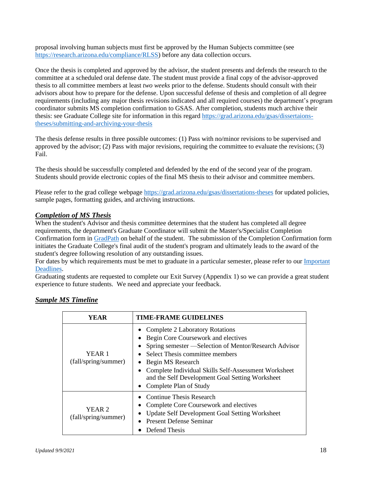proposal involving human subjects must first be approved by the Human Subjects committee (see [https://research.arizona.edu/compliance/RLSS\)](https://research.arizona.edu/compliance/RLSS) before any data collection occurs.

Once the thesis is completed and approved by the advisor, the student presents and defends the research to the committee at a scheduled oral defense date. The student must provide a final copy of the advisor-approved thesis to all committee members at least *two weeks* prior to the defense. Students should consult with their advisors about how to prepare for the defense. Upon successful defense of thesis and completion of all degree requirements (including any major thesis revisions indicated and all required courses) the department's program coordinator submits MS completion confirmation to GSAS. After completion, students much archive their thesis: see Graduate College site for information in this regard [https://grad.arizona.edu/gsas/dissertaions](https://grad.arizona.edu/gsas/dissertaions-theses/submitting-and-archiving-your-thesis)[theses/submitting-and-archiving-your-thesis](https://grad.arizona.edu/gsas/dissertaions-theses/submitting-and-archiving-your-thesis)

The thesis defense results in three possible outcomes: (1) Pass with no/minor revisions to be supervised and approved by the advisor; (2) Pass with major revisions, requiring the committee to evaluate the revisions; (3) Fail.

The thesis should be successfully completed and defended by the end of the second year of the program. Students should provide electronic copies of the final MS thesis to their advisor and committee members.

Please refer to the grad college webpage <https://grad.arizona.edu/gsas/dissertations-theses> for updated policies, sample pages, formatting guides, and archiving instructions.

# *Completion of MS Thesis*

When the student's Advisor and thesis committee determines that the student has completed all degree requirements, the department's Graduate Coordinator will submit the Master's/Specialist Completion Confirmation form in [GradPath](https://grad.arizona.edu/gsas/gradpath) on behalf of the student. The submission of the Completion Confirmation form initiates the Graduate College's final audit of the student's program and ultimately leads to the award of the student's degree following resolution of any outstanding issues.

For dates by which requirements must be met to graduate in a particular semester, please refer to our [Important](https://grad.arizona.edu/academics/degree-certification/deadlines-for-graduation)  [Deadlines.](https://grad.arizona.edu/academics/degree-certification/deadlines-for-graduation)

Graduating students are requested to complete our Exit Survey (Appendix 1) so we can provide a great student experience to future students. We need and appreciate your feedback.

| YEAR                           | <b>TIME-FRAME GUIDELINES</b>                                                                                                                                                                                                                                                                                                                      |
|--------------------------------|---------------------------------------------------------------------------------------------------------------------------------------------------------------------------------------------------------------------------------------------------------------------------------------------------------------------------------------------------|
| YEAR 1<br>(fall/spring/summer) | <b>Complete 2 Laboratory Rotations</b><br>Begin Core Coursework and electives<br>Spring semester — Selection of Mentor/Research Advisor<br>Select Thesis committee members<br>Begin MS Research<br>$\bullet$<br>Complete Individual Skills Self-Assessment Worksheet<br>and the Self Development Goal Setting Worksheet<br>Complete Plan of Study |
| YEAR 2<br>(fall/spring/summer) | <b>Continue Thesis Research</b><br>Complete Core Coursework and electives<br><b>Update Self Development Goal Setting Worksheet</b><br><b>Present Defense Seminar</b><br>Defend Thesis                                                                                                                                                             |

# *Sample MS Timeline*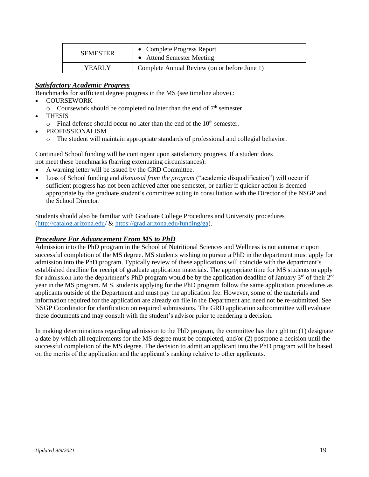| <b>SEMESTER</b> | • Complete Progress Report<br>• Attend Semester Meeting |
|-----------------|---------------------------------------------------------|
| YEARLY          | Complete Annual Review (on or before June 1)            |

# *Satisfactory Academic Progress*

Benchmarks for sufficient degree progress in the MS (see timeline above).:

- COURSEWORK
	- $\circ$  Coursework should be completed no later than the end of  $7<sup>th</sup>$  semester
	- THESIS
		- $\circ$  Final defense should occur no later than the end of the 10<sup>th</sup> semester.
- PROFESSIONALISM
	- o The student will maintain appropriate standards of professional and collegial behavior.

Continued School funding will be contingent upon satisfactory progress. If a student does not meet these benchmarks (barring extenuating circumstances):

- A warning letter will be issued by the GRD Committee.
- Loss of School funding and *dismissal from the program* ("academic disqualification") will occur if sufficient progress has not been achieved after one semester, or earlier if quicker action is deemed appropriate by the graduate student's committee acting in consultation with the Director of the NSGP and the School Director.

Students should also be familiar with Graduate College Procedures and University procedures [\(http://catalog.arizona.edu/](https://catalog.arizona.edu/) & [https://grad.arizona.edu/funding/ga\)](https://grad.arizona.edu/funding/ga).

#### *Procedure For Advancement From MS to PhD*

Admission into the PhD program in the School of Nutritional Sciences and Wellness is not automatic upon successful completion of the MS degree. MS students wishing to pursue a PhD in the department must apply for admission into the PhD program. Typically review of these applications will coincide with the department's established deadline for receipt of graduate application materials. The appropriate time for MS students to apply for admission into the department's PhD program would be by the application deadline of January  $3^{rd}$  of their  $2^{nd}$ year in the MS program. M S. students applying for the PhD program follow the same application procedures as applicants outside of the Department and must pay the application fee. However, some of the materials and information required for the application are already on file in the Department and need not be re-submitted. See NSGP Coordinator for clarification on required submissions. The GRD application subcommittee will evaluate these documents and may consult with the student's advisor prior to rendering a decision.

In making determinations regarding admission to the PhD program, the committee has the right to: (1) designate a date by which all requirements for the MS degree must be completed, and/or (2) postpone a decision until the successful completion of the MS degree. The decision to admit an applicant into the PhD program will be based on the merits of the application and the applicant's ranking relative to other applicants.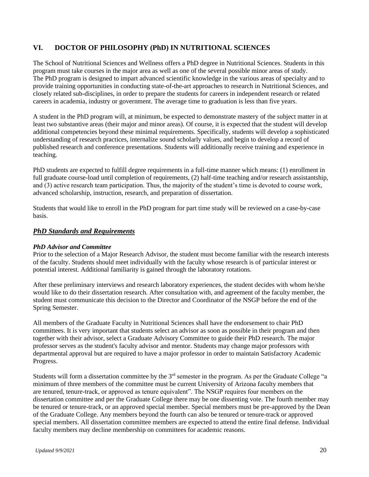# **VI. DOCTOR OF PHILOSOPHY (PhD) IN NUTRITIONAL SCIENCES**

The School of Nutritional Sciences and Wellness offers a PhD degree in Nutritional Sciences. Students in this program must take courses in the major area as well as one of the several possible minor areas of study. The PhD program is designed to impart advanced scientific knowledge in the various areas of specialty and to provide training opportunities in conducting state-of-the-art approaches to research in Nutritional Sciences, and closely related sub-disciplines, in order to prepare the students for careers in independent research or related careers in academia, industry or government. The average time to graduation is less than five years.

A student in the PhD program will, at minimum, be expected to demonstrate mastery of the subject matter in at least two substantive areas (their major and minor areas). Of course, it is expected that the student will develop additional competencies beyond these minimal requirements. Specifically, students will develop a sophisticated understanding of research practices, internalize sound scholarly values, and begin to develop a record of published research and conference presentations. Students will additionally receive training and experience in teaching.

PhD students are expected to fulfill degree requirements in a full-time manner which means: (1) enrollment in full graduate course-load until completion of requirements, (2) half-time teaching and/or research assistantship, and (3) active research team participation. Thus, the majority of the student's time is devoted to course work, advanced scholarship, instruction, research, and preparation of dissertation.

Students that would like to enroll in the PhD program for part time study will be reviewed on a case-by-case basis.

# *PhD Standards and Requirements*

#### *PhD Advisor and Committee*

Prior to the selection of a Major Research Advisor, the student must become familiar with the research interests of the faculty. Students should meet individually with the faculty whose research is of particular interest or potential interest. Additional familiarity is gained through the laboratory rotations.

After these preliminary interviews and research laboratory experiences, the student decides with whom he/she would like to do their dissertation research. After consultation with, and agreement of the faculty member, the student must communicate this decision to the Director and Coordinator of the NSGP before the end of the Spring Semester.

All members of the Graduate Faculty in Nutritional Sciences shall have the endorsement to chair PhD committees. It is very important that students select an advisor as soon as possible in their program and then together with their advisor, select a Graduate Advisory Committee to guide their PhD research. The major professor serves as the student's faculty advisor and mentor. Students may change major professors with departmental approval but are required to have a major professor in order to maintain Satisfactory Academic Progress.

Students will form a dissertation committee by the 3<sup>rd</sup> semester in the program. As per the Graduate College "a minimum of three members of the committee must be current University of Arizona faculty members that are tenured, tenure-track, or approved as tenure equivalent". The NSGP requires four members on the dissertation committee and per the Graduate College there may be one dissenting vote. The fourth member may be tenured or tenure-track, or an approved special member. Special members must be pre-approved by the Dean of the Graduate College. Any members beyond the fourth can also be tenured or tenure-track or approved special members. All dissertation committee members are expected to attend the entire final defense. Individual faculty members may decline membership on committees for academic reasons.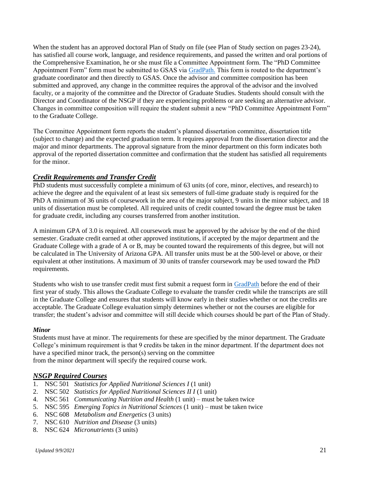When the student has an approved doctoral Plan of Study on file (see Plan of Study section on pages 23-24), has satisfied all course work, language, and residence requirements, and passed the written and oral portions of the Comprehensive Examination, he or she must file a Committee Appointment form. The "PhD Committee Appointment Form" form must be submitted to GSAS via [GradPath.](http://grad.arizona.edu/gsas/gradpath) This form is routed to the department's graduate coordinator and then directly to GSAS. Once the advisor and committee composition has been submitted and approved, any change in the committee requires the approval of the advisor and the involved faculty, or a majority of the committee and the Director of Graduate Studies. Students should consult with the Director and Coordinator of the NSGP if they are experiencing problems or are seeking an alternative advisor. Changes in committee composition will require the student submit a new "PhD Committee Appointment Form" to the Graduate College.

The Committee Appointment form reports the student's planned dissertation committee, dissertation title (subject to change) and the expected graduation term. It requires approval from the dissertation director and the major and minor departments. The approval signature from the minor department on this form indicates both approval of the reported dissertation committee and confirmation that the student has satisfied all requirements for the minor.

# *Credit Requirements and Transfer Credit*

PhD students must successfully complete a minimum of 63 units (of core, minor, electives, and research) to achieve the degree and the equivalent of at least six semesters of full-time graduate study is required for the PhD A minimum of 36 units of coursework in the area of the major subject, 9 units in the minor subject, and 18 units of dissertation must be completed. All required units of credit counted toward the degree must be taken for graduate credit, including any courses transferred from another institution.

A minimum GPA of 3.0 is required. All coursework must be approved by the advisor by the end of the third semester. Graduate credit earned at other approved institutions, if accepted by the major department and the Graduate College with a grade of A or B, may be counted toward the requirements of this degree, but will not be calculated in The University of Arizona GPA. All transfer units must be at the 500-level or above, or their equivalent at other institutions. A maximum of 30 units of transfer coursework may be used toward the PhD requirements.

Students who wish to use transfer credit must first submit a request form in [GradPath](https://grad.arizona.edu/gsas/gradpath) before the end of their first year of study. This allows the Graduate College to evaluate the transfer credit while the transcripts are still in the Graduate College and ensures that students will know early in their studies whether or not the credits are acceptable. The Graduate College evaluation simply determines whether or not the courses are eligible for transfer; the student's advisor and committee will still decide which courses should be part of the Plan of Study.

#### *Minor*

Students must have at minor. The requirements for these are specified by the minor department. The Graduate College's minimum requirement is that 9 credits be taken in the minor department. If the department does not have a specified minor track, the person(s) serving on the committee from the minor department will specify the required course work.

# *NSGP Required Courses*

- 1. NSC 501 *Statistics for Applied Nutritional Sciences I* (1 unit)
- 2. NSC 502 *Statistics for Applied Nutritional Sciences II I* (1 unit)
- 4. NSC 561 *Communicating Nutrition and Health* (1 unit) must be taken twice
- 5. NSC 595 *Emerging Topics in Nutritional Sciences* (1 unit) must be taken twice
- 6. NSC 608 *Metabolism and Energetics* (3 units)
- 7. NSC 610 *Nutrition and Disease* (3 units)
- 8. NSC 624 *Micronutrients* (3 units)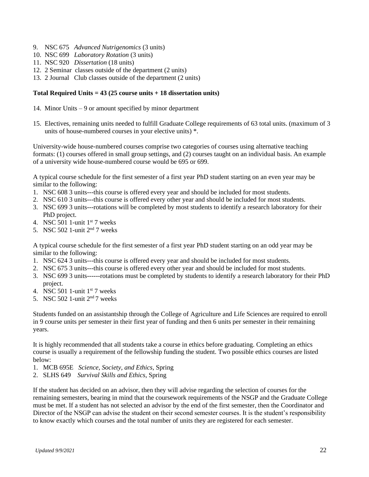- 9. NSC 675 *Advanced Nutrigenomics* (3 units)
- 10. NSC 699 *Laboratory Rotation* (3 units)
- 11. NSC 920 *Dissertation* (18 units)
- 12. 2 Seminar classes outside of the department (2 units)
- 13. 2 Journal Club classes outside of the department (2 units)

#### **Total Required Units = 43 (25 course units + 18 dissertation units)**

- 14. Minor Units 9 or amount specified by minor department
- 15. Electives, remaining units needed to fulfill Graduate College requirements of 63 total units. (maximum of 3 units of house-numbered courses in your elective units) \*.

University-wide house-numbered courses comprise two categories of courses using alternative teaching formats: (1) courses offered in small group settings, and (2) courses taught on an individual basis. An example of a university wide house-numbered course would be 695 or 699.

A typical course schedule for the first semester of a first year PhD student starting on an even year may be similar to the following:

- 1. NSC 608 3 units---this course is offered every year and should be included for most students.
- 2. NSC 610 3 units---this course is offered every other year and should be included for most students.
- 3. NSC 699 3 units---rotations will be completed by most students to identify a research laboratory for their PhD project.
- 4. NSC  $501$  1-unit 1st 7 weeks
- 5. NSC 502 1-unit  $2<sup>nd</sup>$  7 weeks

A typical course schedule for the first semester of a first year PhD student starting on an odd year may be similar to the following:

- 1. NSC 624 3 units---this course is offered every year and should be included for most students.
- 2. NSC 675 3 units---this course is offered every other year and should be included for most students.
- 3. NSC 699 3 units------rotations must be completed by students to identify a research laboratory for their PhD project.
- 4. NSC 501 1-unit  $1<sup>st</sup>$  7 weeks
- 5. NSC 502 1-unit 2nd 7 weeks

Students funded on an assistantship through the College of Agriculture and Life Sciences are required to enroll in 9 course units per semester in their first year of funding and then 6 units per semester in their remaining years.

It is highly recommended that all students take a course in ethics before graduating. Completing an ethics course is usually a requirement of the fellowship funding the student. Two possible ethics courses are listed below:

- 1. MCB 695E *Science, Society, and Ethics*, Spring
- 2. SLHS 649 *Survival Skills and Ethics*, Spring

If the student has decided on an advisor, then they will advise regarding the selection of courses for the remaining semesters, bearing in mind that the coursework requirements of the NSGP and the Graduate College must be met. If a student has not selected an advisor by the end of the first semester, then the Coordinator and Director of the NSGP can advise the student on their second semester courses. It is the student's responsibility to know exactly which courses and the total number of units they are registered for each semester.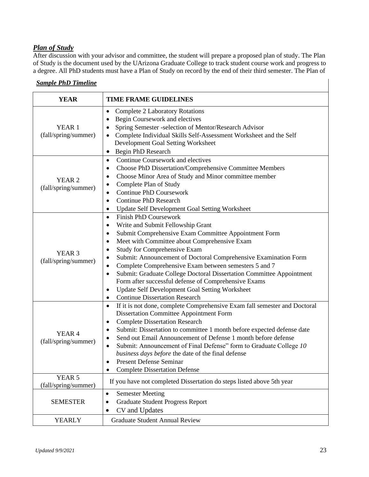# *Plan of Study*

After discussion with your advisor and committee, the student will prepare a proposed plan of study. The Plan of Study is the document used by the UArizona Graduate College to track student course work and progress to a degree. All PhD students must have a Plan of Study on record by the end of their third semester. The Plan of

| <b>YEAR</b>                               | <b>TIME FRAME GUIDELINES</b>                                                                                                                                                                                                                                                                                                                                                                                                                                                                                                                                                                                                                                                      |
|-------------------------------------------|-----------------------------------------------------------------------------------------------------------------------------------------------------------------------------------------------------------------------------------------------------------------------------------------------------------------------------------------------------------------------------------------------------------------------------------------------------------------------------------------------------------------------------------------------------------------------------------------------------------------------------------------------------------------------------------|
| YEAR <sub>1</sub><br>(fall/spring/summer) | <b>Complete 2 Laboratory Rotations</b><br>$\bullet$<br>Begin Coursework and electives<br>$\bullet$<br>Spring Semester -selection of Mentor/Research Advisor<br>٠<br>Complete Individual Skills Self-Assessment Worksheet and the Self<br>Development Goal Setting Worksheet<br>Begin PhD Research<br>٠                                                                                                                                                                                                                                                                                                                                                                            |
| YEAR <sub>2</sub><br>(fall/spring/summer) | Continue Coursework and electives<br>$\bullet$<br>Choose PhD Dissertation/Comprehensive Committee Members<br>$\bullet$<br>Choose Minor Area of Study and Minor committee member<br>٠<br>Complete Plan of Study<br>$\bullet$<br><b>Continue PhD Coursework</b><br>٠<br><b>Continue PhD Research</b><br>$\bullet$<br><b>Update Self Development Goal Setting Worksheet</b><br>٠                                                                                                                                                                                                                                                                                                     |
| YEAR <sub>3</sub><br>(fall/spring/summer) | <b>Finish PhD Coursework</b><br>$\bullet$<br>Write and Submit Fellowship Grant<br>$\bullet$<br>Submit Comprehensive Exam Committee Appointment Form<br>٠<br>Meet with Committee about Comprehensive Exam<br>٠<br><b>Study for Comprehensive Exam</b><br>$\bullet$<br>Submit: Announcement of Doctoral Comprehensive Examination Form<br>٠<br>Complete Comprehensive Exam between semesters 5 and 7<br>$\bullet$<br>Submit: Graduate College Doctoral Dissertation Committee Appointment<br>$\bullet$<br>Form after successful defense of Comprehensive Exams<br>Update Self Development Goal Setting Worksheet<br>$\bullet$<br><b>Continue Dissertation Research</b><br>$\bullet$ |
| YEAR <sub>4</sub><br>(fall/spring/summer) | If it is not done, complete Comprehensive Exam fall semester and Doctoral<br>$\bullet$<br>Dissertation Committee Appointment Form<br><b>Complete Dissertation Research</b><br>$\bullet$<br>Submit: Dissertation to committee 1 month before expected defense date<br>٠<br>Send out Email Announcement of Defense 1 month before defense<br>٠<br>Submit: Announcement of Final Defense" form to Graduate College 10<br>business days before the date of the final defense<br><b>Present Defense Seminar</b><br>٠<br><b>Complete Dissertation Defense</b>                                                                                                                           |
| YEAR 5<br>(fall/spring/summer)            | If you have not completed Dissertation do steps listed above 5th year                                                                                                                                                                                                                                                                                                                                                                                                                                                                                                                                                                                                             |
| <b>SEMESTER</b>                           | <b>Semester Meeting</b><br>$\bullet$<br><b>Graduate Student Progress Report</b><br>٠<br>CV and Updates                                                                                                                                                                                                                                                                                                                                                                                                                                                                                                                                                                            |
| <b>YEARLY</b>                             | <b>Graduate Student Annual Review</b>                                                                                                                                                                                                                                                                                                                                                                                                                                                                                                                                                                                                                                             |

## *Sample PhD Timeline*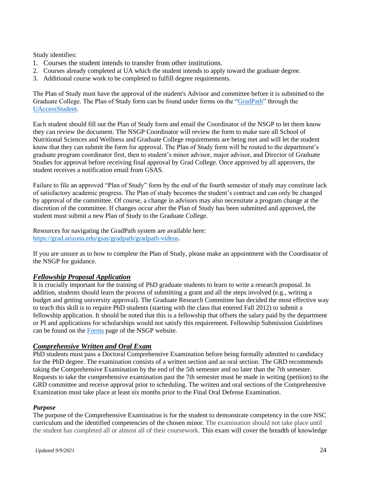Study identifies:

- 1. Courses the student intends to transfer from other institutions.
- 2. Courses already completed at UA which the student intends to apply toward the graduate degree.
- 3. Additional course work to be completed to fulfill degree requirements.

The Plan of Study must have the approval of the student's Advisor and committee before it is submitted to the Graduate College. The Plan of Study form can be found under forms on the ["GradPath"](https://grad.arizona.edu/gsas/gradpath) through the [UAccessStudent.](https://uaccess.arizona.edu/)

Each student should fill out the Plan of Study form and email the Coordinator of the NSGP to let them know they can review the document. The NSGP Coordinator will review the form to make sure all School of Nutritional Sciences and Wellness and Graduate College requirements are being met and will let the student know that they can submit the form for approval. The Plan of Study form will be routed to the department's graduate program coordinator first, then to student's minor advisor, major advisor, and Director of Graduate Studies for approval before receiving final approval by Grad College. Once approved by all approvers, the student receives a notification email from GSAS.

Failure to file an approved "Plan of Study" form by the end of the fourth semester of study may constitute lack of satisfactory academic progress. The Plan of study becomes the student's contract and can only be changed by approval of the committee. Of course, a change in advisors may also necessitate a program change at the discretion of the committee. If changes occur after the Plan of Study has been submitted and approved, the student must submit a new Plan of Study to the Graduate College.

Resources for navigating the GradPath system are available here: [https://grad.arizona.edu/gsas/gradpath/gradpath-videos.](https://grad.arizona.edu/gsas/gradpath/gradpath-videos)

If you are unsure as to how to complete the Plan of Study, please make an appointment with the Coordinator of the NSGP for guidance.

# *Fellowship Proposal Application*

It is crucially important for the training of PhD graduate students to learn to write a research proposal. In addition, students should learn the process of submitting a grant and all the steps involved (e.g., writing a budget and getting university approval). The Graduate Research Committee has decided the most effective way to teach this skill is to require PhD students (starting with the class that entered Fall 2012) to submit a fellowship application. It should be noted that this is a fellowship that offsets the salary paid by the department or PI and applications for scholarships would not satisfy this requirement. Fellowship Submission Guidelines can be found on the [Forms](https://nutrition.cals.arizona.edu/nsgp#current) page of the NSGP website.

# *Comprehensive Written and Oral Exam*

PhD students must pass a Doctoral Comprehensive Examination before being formally admitted to candidacy for the PhD degree. The examination consists of a written section and an oral section. The GRD recommends taking the Comprehensive Examination by the end of the 5th semester and no later than the 7th semester. Requests to take the comprehensive examination past the 7th semester must be made in writing (petition) to the GRD committee and receive approval prior to scheduling. The written and oral sections of the Comprehensive Examination must take place at least six months prior to the Final Oral Defense Examination.

#### *Purpose*

The purpose of the Comprehensive Examination is for the student to demonstrate competency in the core NSC curriculum and the identified competencies of the chosen minor. The examination should not take place until the student has completed all or almost all of their coursework. This exam will cover the breadth of knowledge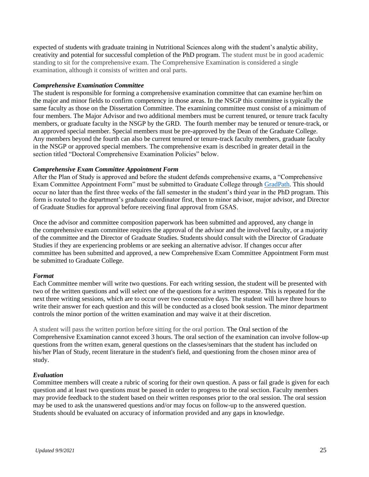expected of students with graduate training in Nutritional Sciences along with the student's analytic ability, creativity and potential for successful completion of the PhD program. The student must be in good academic standing to sit for the comprehensive exam. The Comprehensive Examination is considered a single examination, although it consists of written and oral parts.

#### *Comprehensive Examination Committee*

The student is responsible for forming a comprehensive examination committee that can examine her/him on the major and minor fields to confirm competency in those areas. In the NSGP this committee is typically the same faculty as those on the Dissertation Committee. The examining committee must consist of a minimum of four members. The Major Advisor and two additional members must be current tenured, or tenure track faculty members, or graduate faculty in the NSGP by the GRD. The fourth member may be tenured or tenure-track, or an approved special member. Special members must be pre-approved by the Dean of the Graduate College. Any members beyond the fourth can also be current tenured or tenure-track faculty members, graduate faculty in the NSGP or approved special members. The comprehensive exam is described in greater detail in the section titled "Doctoral Comprehensive Examination Policies" below.

#### *Comprehensive Exam Committee Appointment Form*

After the Plan of Study is approved and before the student defends comprehensive exams, a "Comprehensive Exam Committee Appointment Form" must be submitted to Graduate College through [GradPath.](https://grad.arizona.edu/gsas/gradpath) This should occur no later than the first three weeks of the fall semester in the student's third year in the PhD program. This form is routed to the department's graduate coordinator first, then to minor advisor, major advisor, and Director of Graduate Studies for approval before receiving final approval from GSAS.

Once the advisor and committee composition paperwork has been submitted and approved, any change in the comprehensive exam committee requires the approval of the advisor and the involved faculty, or a majority of the committee and the Director of Graduate Studies. Students should consult with the Director of Graduate Studies if they are experiencing problems or are seeking an alternative advisor. If changes occur after committee has been submitted and approved, a new Comprehensive Exam Committee Appointment Form must be submitted to Graduate College.

#### *Format*

Each Committee member will write two questions. For each writing session, the student will be presented with two of the written questions and will select one of the questions for a written response. This is repeated for the next three writing sessions, which are to occur over two consecutive days. The student will have three hours to write their answer for each question and this will be conducted as a closed book session. The minor department controls the minor portion of the written examination and may waive it at their discretion.

A student will pass the written portion before sitting for the oral portion. The Oral section of the Comprehensive Examination cannot exceed 3 hours. The oral section of the examination can involve follow-up questions from the written exam, general questions on the classes/seminars that the student has included on his/her Plan of Study, recent literature in the student's field, and questioning from the chosen minor area of study.

#### *Evaluation*

Committee members will create a rubric of scoring for their own question. A pass or fail grade is given for each question and at least two questions must be passed in order to progress to the oral section. Faculty members may provide feedback to the student based on their written responses prior to the oral session. The oral session may be used to ask the unanswered questions and/or may focus on follow-up to the answered question. Students should be evaluated on accuracy of information provided and any gaps in knowledge.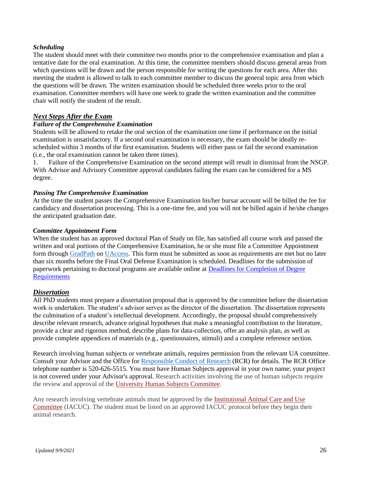#### *Scheduling*

The student should meet with their committee two months prior to the comprehensive examination and plan a tentative date for the oral examination. At this time, the committee members should discuss general areas from which questions will be drawn and the person responsible for writing the questions for each area. After this meeting the student is allowed to talk to each committee member to discuss the general topic area from which the questions will be drawn. The written examination should be scheduled three weeks prior to the oral examination. Committee members will have one week to grade the written examination and the committee chair will notify the student of the result.

# *Next Steps After the Exam*

#### *Failure of the Comprehensive Examination*

Students will be allowed to retake the oral section of the examination one time if performance on the initial examination is unsatisfactory. If a second oral examination is necessary, the exam should be ideally rescheduled within 3 months of the first examination. Students will either pass or fail the second examination (i.e., the oral examination cannot be taken three times).

1. Failure of the Comprehensive Examination on the second attempt will result in dismissal from the NSGP. With Advisor and Advisory Committee approval candidates failing the exam can be considered for a MS degree.

#### *Passing The Comprehensive Examination*

At the time the student passes the Comprehensive Examination his/her bursar account will be billed the fee for candidacy and dissertation processing. This is a one-time fee, and you will not be billed again if he/she changes the anticipated graduation date.

#### *Committee Appointment Form*

When the student has an approved doctoral Plan of Study on file, has satisfied all course work and passed the written and oral portions of the Comprehensive Examination, he or she must file a Committee Appointment form through [GradPath](https://grad.arizona.edu/gsas/gradpath) on [UAccess.](https://uaccess.arizona.edu/) This form must be submitted as soon as requirements are met but no later than six months before the Final Oral Defense Examination is scheduled. Deadlines for the submission of paperwork pertaining to doctoral programs are available online at [Deadlines for Completion of Degree](http://grad.arizona.edu/academics/degree-certification/deadlines-for-graduation)  [Requirements](http://grad.arizona.edu/academics/degree-certification/deadlines-for-graduation)

#### *Dissertation*

All PhD students must prepare a dissertation proposal that is approved by the committee before the dissertation work is undertaken. The student's advisor serves as the director of the dissertation. The dissertation represents the culmination of a student's intellectual development. Accordingly, the proposal should comprehensively describe relevant research, advance original hypotheses that make a meaningful contribution to the literature, provide a clear and rigorous method, describe plans for data-collection, offer an analysis plan, as well as provide complete appendices of materials (e.g., questionnaires, stimuli) and a complete reference section.

Research involving human subjects or vertebrate animals, requires permission from the relevant UA committee. Consult your Advisor and the Office for [Responsible Conduct of Research](https://rgw.arizona.edu/compliance/home) (RCR) for details. The RCR Office telephone number is 520-626-5515. You must have Human Subjects approval in your own name; your project is not covered under your Advisor's approval. Research activities involving the use of human subjects require the review and approval of the [University Human Subjects Committee.](http://orcr.arizona.edu/hspp)

Any research involving vertebrate animals must be approved by the [Institutional Animal Care and Use](http://orcr.arizona.edu/IACUC)  [Committee](http://orcr.arizona.edu/IACUC) (IACUC). The student must be listed on an approved IACUC protocol before they begin their animal research.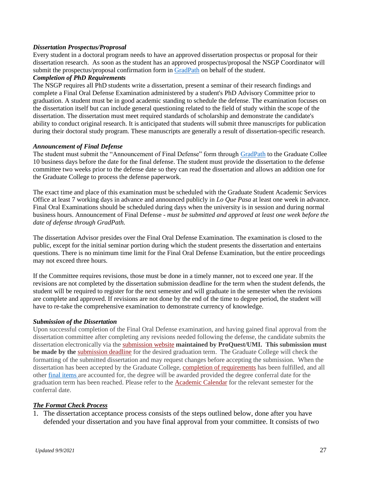#### *Dissertation Prospectus/Proprosal*

Every student in a doctoral program needs to have an approved dissertation prospectus or proposal for their dissertation research. As soon as the student has an approved prospectus/proposal the NSGP Coordinator will submit the prospectus/proposal confirmation form in [GradPath](https://grad.arizona.edu/gsas/gradpath) on behalf of the student.

#### *Completion of PhD Requirements*

The NSGP requires all PhD students write a dissertation, present a seminar of their research findings and complete a Final Oral Defense Examination administered by a student's PhD Advisory Committee prior to graduation. A student must be in good academic standing to schedule the defense. The examination focuses on the dissertation itself but can include general questioning related to the field of study within the scope of the dissertation. The dissertation must meet required standards of scholarship and demonstrate the candidate's ability to conduct original research. It is anticipated that students will submit three manuscripts for publication during their doctoral study program. These manuscripts are generally a result of dissertation-specific research.

#### *Announcement of Final Defense*

The student must submit the "Announcement of Final Defense" form through [GradPath](https://grad.arizona.edu/gsas/gradpath) to the Graduate Collee 10 business days before the date for the final defense. The student must provide the dissertation to the defense committee two weeks prior to the defense date so they can read the dissertation and allows an addition one for the Graduate College to process the defense paperwork.

The exact time and place of this examination must be scheduled with the Graduate Student Academic Services Office at least 7 working days in advance and announced publicly in *Lo Que Pasa* at least one week in advance. Final Oral Examinations should be scheduled during days when the university is in session and during normal business hours. Announcement of Final Defense - *must be submitted and approved at least one week before the date of defense through GradPath.*

The dissertation Advisor presides over the Final Oral Defense Examination. The examination is closed to the public, except for the initial seminar portion during which the student presents the dissertation and entertains questions. There is no minimum time limit for the Final Oral Defense Examination, but the entire proceedings may not exceed three hours.

If the Committee requires revisions, those must be done in a timely manner, not to exceed one year. If the revisions are not completed by the dissertation submission deadline for the term when the student defends, the student will be required to register for the next semester and will graduate in the semester when the revisions are complete and approved. If revisions are not done by the end of the time to degree period, the student will have to re-take the comprehensive examination to demonstrate currency of knowledge.

#### *Submission of the Dissertation*

Upon successful completion of the Final Oral Defense examination, and having gained final approval from the dissertation committee after completing any revisions needed following the defense, the candidate submits the dissertation electronically via the [submission](http://www.etdadmin.com/cgi-bin/school?siteId=63) website **maintained by ProQuest/UMI. This submission must be made by the** [submission deadline](https://grad.arizona.edu/gsas/degree-requirements/important-degree-dates-and-deadlines) for the desired graduation term. The Graduate College will check the formatting of the submitted dissertation and may request changes before accepting the submission. When the dissertation has been accepted by the Graduate College, [completion of requirements](https://grad.arizona.edu/gsas/degree-requirements/doctor-philosophy#Completion%20of%20Requirements) has been fulfilled, and all other [final items](https://arizona.app.box.com/v/grad-gsas-etdsubapprove) are accounted for, the degree will be awarded provided the degree conferral date for the graduation term has been reached. Please refer to the [Academic](http://www.arizona.edu/calendars-events) Calendar for the relevant semester for the conferral date.

#### *The Format Check Process*

1. The dissertation acceptance process consists of the steps outlined below, done after you have defended your dissertation and you have final approval from your committee. It consists of two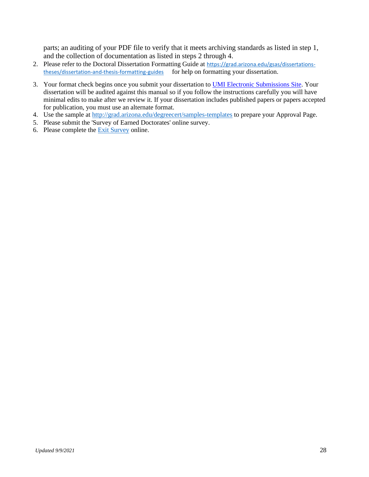parts; an auditing of your PDF file to verify that it meets archiving standards as listed in step 1, and the collection of documentation as listed in steps 2 through 4.

- 2. Please refer to the Doctoral Dissertation Formatting Guide at [https://grad.arizona.edu/gsas/dissertations](https://grad.arizona.edu/gsas/dissertations-theses/dissertation-and-thesis-formatting-guides)[theses/dissertation-and-thesis-formatting-guides](https://grad.arizona.edu/gsas/dissertations-theses/dissertation-and-thesis-formatting-guides) for help on formatting your dissertation.
- 3. Your format check begins once you submit your dissertation to **UMI Electronic Submissions Site**. Your dissertation will be audited against this manual so if you follow the instructions carefully you will have minimal edits to make after we review it. If your dissertation includes published papers or papers accepted for publication, you must use an alternate format.
- 4. Use the sample at<http://grad.arizona.edu/degreecert/samples-templates> to prepare your Approval Page.
- 5. Please submit the 'Survey of Earned Doctorates' online survey.
- 6. Please complete the Exit [Survey](https://uarizona.co1.qualtrics.com/jfe/form/SV_cxaoYeQAK42DR2t) online.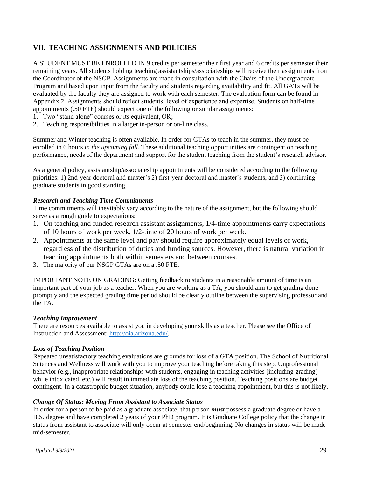# **VII. TEACHING ASSIGNMENTS AND POLICIES**

A STUDENT MUST BE ENROLLED IN 9 credits per semester their first year and 6 credits per semester their remaining years. All students holding teaching assistantships/associateships will receive their assignments from the Coordinator of the NSGP. Assignments are made in consultation with the Chairs of the Undergraduate Program and based upon input from the faculty and students regarding availability and fit. All GATs will be evaluated by the faculty they are assigned to work with each semester. The evaluation form can be found in Appendix 2. Assignments should reflect students' level of experience and expertise. Students on half-time appointments (.50 FTE) should expect one of the following or similar assignments:

- 1. Two "stand alone" courses or its equivalent, OR;
- 2. Teaching responsibilities in a larger in-person or on-line class.

Summer and Winter teaching is often available. In order for GTAs to teach in the summer, they must be enrolled in 6 hours *in the upcoming fall.* These additional teaching opportunities are contingent on teaching performance, needs of the department and support for the student teaching from the student's research advisor.

As a general policy, assistantship/associateship appointments will be considered according to the following priorities: 1) 2nd-year doctoral and master's 2) first-year doctoral and master's students, and 3) continuing graduate students in good standing,

#### *Research and Teaching Time Commitments*

Time commitments will inevitably vary according to the nature of the assignment, but the following should serve as a rough guide to expectations:

- 1. On teaching and funded research assistant assignments, 1/4-time appointments carry expectations of 10 hours of work per week, 1/2-time of 20 hours of work per week.
- 2. Appointments at the same level and pay should require approximately equal levels of work, regardless of the distribution of duties and funding sources. However, there is natural variation in teaching appointments both within semesters and between courses.
- 3. The majority of our NSGP GTAs are on a .50 FTE.

IMPORTANT NOTE ON GRADING: Getting feedback to students in a reasonable amount of time is an important part of your job as a teacher. When you are working as a TA, you should aim to get grading done promptly and the expected grading time period should be clearly outline between the supervising professor and the TA.

#### *Teaching Improvement*

There are resources available to assist you in developing your skills as a teacher. Please see the Office of Instruction and Assessment: [http://oia.arizona.edu/.](http://oia.arizona.edu/)

#### *Loss of Teaching Position*

Repeated unsatisfactory teaching evaluations are grounds for loss of a GTA position. The School of Nutritional Sciences and Wellness will work with you to improve your teaching before taking this step. Unprofessional behavior (e.g., inappropriate relationships with students, engaging in teaching activities [including grading] while intoxicated, etc.) will result in immediate loss of the teaching position. Teaching positions are budget contingent. In a catastrophic budget situation, anybody could lose a teaching appointment, but this is not likely.

#### *Change Of Status: Moving From Assistant to Associate Status*

In order for a person to be paid as a graduate associate, that person *must* possess a graduate degree or have a B.S. degree and have completed 2 years of your PhD program. It is Graduate College policy that the change in status from assistant to associate will only occur at semester end/beginning. No changes in status will be made mid-semester.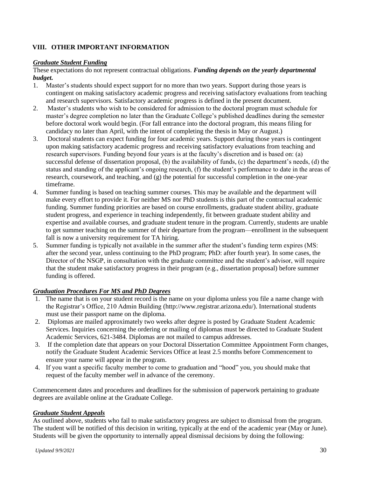# **VIII. OTHER IMPORTANT INFORMATION**

#### *Graduate Student Funding*

These expectations do not represent contractual obligations. *Funding depends on the yearly departmental budget.*

- 1. Master's students should expect support for no more than two years. Support during those years is contingent on making satisfactory academic progress and receiving satisfactory evaluations from teaching and research supervisors. Satisfactory academic progress is defined in the present document.
- 2. Master's students who wish to be considered for admission to the doctoral program must schedule for master's degree completion no later than the Graduate College's published deadlines during the semester before doctoral work would begin. (For fall entrance into the doctoral program, this means filing for candidacy no later than April, with the intent of completing the thesis in May or August.)
- 3. Doctoral students can expect funding for four academic years. Support during those years is contingent upon making satisfactory academic progress and receiving satisfactory evaluations from teaching and research supervisors. Funding beyond four years is at the faculty's discretion and is based on: (a) successful defense of dissertation proposal, (b) the availability of funds, (c) the department's needs, (d) the status and standing of the applicant's ongoing research, (f) the student's performance to date in the areas of research, coursework, and teaching, and (g) the potential for successful completion in the one-year timeframe.
- 4. Summer funding is based on teaching summer courses. This may be available and the department will make every effort to provide it. For neither MS nor PhD students is this part of the contractual academic funding. Summer funding priorities are based on course enrollments, graduate student ability, graduate student progress, and experience in teaching independently, fit between graduate student ability and expertise and available courses, and graduate student tenure in the program. Currently, students are unable to get summer teaching on the summer of their departure from the program—enrollment in the subsequent fall is now a university requirement for TA hiring.
- 5. Summer funding is typically not available in the summer after the student's funding term expires (MS: after the second year, unless continuing to the PhD program; PhD: after fourth year). In some cases, the Director of the NSGP, in consultation with the graduate committee and the student's advisor, will require that the student make satisfactory progress in their program (e.g., dissertation proposal) before summer funding is offered.

#### *Graduation Procedures For MS and PhD Degrees*

- 1. The name that is on your student record is the name on your diploma unless you file a name change with the Registrar's Office, 210 Admin Building (http://www.registrar.arizona.edu/). International students must use their passport name on the diploma.
- 2. Diplomas are mailed approximately two weeks after degree is posted by Graduate Student Academic Services. Inquiries concerning the ordering or mailing of diplomas must be directed to Graduate Student Academic Services, 621-3484. Diplomas are not mailed to campus addresses.
- 3. If the completion date that appears on your Doctoral Dissertation Committee Appointment Form changes, notify the Graduate Student Academic Services Office at least 2.5 months before Commencement to ensure your name will appear in the program.
- 4. If you want a specific faculty member to come to graduation and "hood" you, you should make that request of the faculty member *well* in advance of the ceremony.

Commencement dates and procedures and deadlines for the submission of paperwork pertaining to graduate degrees are available online at the Graduate College.

#### *Graduate Student Appeals*

As outlined above, students who fail to make satisfactory progress are subject to dismissal from the program. The student will be notified of this decision in writing, typically at the end of the academic year (May or June). Students will be given the opportunity to internally appeal dismissal decisions by doing the following: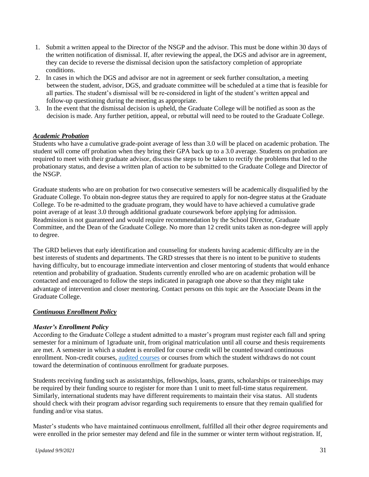- 1. Submit a written appeal to the Director of the NSGP and the advisor. This must be done within 30 days of the written notification of dismissal. If, after reviewing the appeal, the DGS and advisor are in agreement, they can decide to reverse the dismissal decision upon the satisfactory completion of appropriate conditions.
- 2. In cases in which the DGS and advisor are not in agreement or seek further consultation, a meeting between the student, advisor, DGS, and graduate committee will be scheduled at a time that is feasible for all parties. The student's dismissal will be re-considered in light of the student's written appeal and follow-up questioning during the meeting as appropriate.
- 3. In the event that the dismissal decision is upheld, the Graduate College will be notified as soon as the decision is made. Any further petition, appeal, or rebuttal will need to be routed to the Graduate College.

#### *Academic Probation*

Students who have a cumulative grade-point average of less than 3.0 will be placed on academic probation. The student will come off probation when they bring their GPA back up to a 3.0 average. Students on probation are required to meet with their graduate advisor, discuss the steps to be taken to rectify the problems that led to the probationary status, and devise a written plan of action to be submitted to the Graduate College and Director of the NSGP.

Graduate students who are on probation for two consecutive semesters will be academically disqualified by the Graduate College. To obtain non-degree status they are required to apply for non-degree status at the Graduate College. To be re-admitted to the graduate program, they would have to have achieved a cumulative grade point average of at least 3.0 through additional graduate coursework before applying for admission. Readmission is not guaranteed and would require recommendation by the School Director, Graduate Committee, and the Dean of the Graduate College. No more than 12 credit units taken as non-degree will apply to degree.

The GRD believes that early identification and counseling for students having academic difficulty are in the best interests of students and departments. The GRD stresses that there is no intent to be punitive to students having difficulty, but to encourage immediate intervention and closer mentoring of students that would enhance retention and probability of graduation. Students currently enrolled who are on academic probation will be contacted and encouraged to follow the steps indicated in paragraph one above so that they might take advantage of intervention and closer mentoring. Contact persons on this topic are the Associate Deans in the Graduate College.

#### *Continuous Enrollment Policy*

#### *Master's Enrollment Policy*

According to the Graduate College a student admitted to a master's program must register each fall and spring semester for a minimum of 1graduate unit, from original matriculation until all course and thesis requirements are met. A semester in which a student is enrolled for course credit will be counted toward continuous enrollment. Non-credit courses, [audited courses](https://catalog.arizona.edu/policy/audit-policy) or courses from which the student withdraws do not count toward the determination of continuous enrollment for graduate purposes.

Students receiving funding such as assistantships, fellowships, loans, grants, scholarships or traineeships may be required by their funding source to register for more than 1 unit to meet full-time status requirement. Similarly, international students may have different requirements to maintain their visa status. All students should check with their program advisor regarding such requirements to ensure that they remain qualified for funding and/or visa status.

Master's students who have maintained continuous enrollment, fulfilled all their other degree requirements and were enrolled in the prior semester may defend and file in the summer or winter term without registration. If,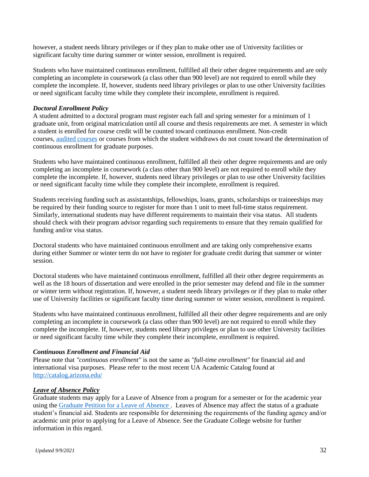however, a student needs library privileges or if they plan to make other use of University facilities or significant faculty time during summer or winter session, enrollment is required.

Students who have maintained continuous enrollment, fulfilled all their other degree requirements and are only completing an incomplete in coursework (a class other than 900 level) are not required to enroll while they complete the incomplete. If, however, students need library privileges or plan to use other University facilities or need significant faculty time while they complete their incomplete, enrollment is required.

#### *Doctoral Enrollment Policy*

A student admitted to a doctoral program must register each fall and spring semester for a minimum of 1 graduate unit, from original matriculation until all course and thesis requirements are met. A semester in which a student is enrolled for course credit will be counted toward continuous enrollment. Non-credit courses, [audited courses](https://catalog.arizona.edu/policy/audit-policy) or courses from which the student withdraws do not count toward the determination of continuous enrollment for graduate purposes.

Students who have maintained continuous enrollment, fulfilled all their other degree requirements and are only completing an incomplete in coursework (a class other than 900 level) are not required to enroll while they complete the incomplete. If, however, students need library privileges or plan to use other University facilities or need significant faculty time while they complete their incomplete, enrollment is required.

Students receiving funding such as assistantships, fellowships, loans, grants, scholarships or traineeships may be required by their funding source to register for more than 1 unit to meet full-time status requirement. Similarly, international students may have different requirements to maintain their visa status. All students should check with their program advisor regarding such requirements to ensure that they remain qualified for funding and/or visa status.

Doctoral students who have maintained continuous enrollment and are taking only comprehensive exams during either Summer or winter term do not have to register for graduate credit during that summer or winter session.

Doctoral students who have maintained continuous enrollment, fulfilled all their other degree requirements as well as the 18 hours of dissertation and were enrolled in the prior semester may defend and file in the summer or winter term without registration. If, however, a student needs library privileges or if they plan to make other use of University facilities or significant faculty time during summer or winter session, enrollment is required.

Students who have maintained continuous enrollment, fulfilled all their other degree requirements and are only completing an incomplete in coursework (a class other than 900 level) are not required to enroll while they complete the incomplete. If, however, students need library privileges or plan to use other University facilities or need significant faculty time while they complete their incomplete, enrollment is required.

#### *Continuous Enrollment and Financial Aid*

Please note that *"continuous enrollment"* is not the same as *"full-time enrollment"* for financial aid and international visa purposes. Please refer to the most recent UA Academic Catalog found at <http://catalog.arizona.edu/>

#### *Leave of Absence Policy*

Graduate students may apply for a Leave of Absence from a program for a semester or for the academic year using th[e Graduate Petition for a Leave of Absence](https://grad.arizona.edu/gsas/gradpath/graduate-petition-and-graduate-petition-user-guides) . Leaves of Absence may affect the status of a graduate student's financial aid. Students are responsible for determining the requirements of the funding agency and/or academic unit prior to applying for a Leave of Absence. See the Graduate College website for further information in this regard.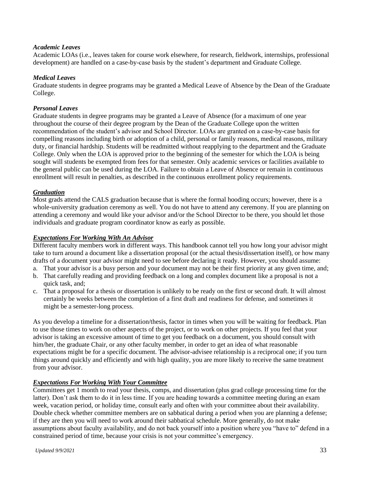#### *Academic Leaves*

Academic LOAs (i.e., leaves taken for course work elsewhere, for research, fieldwork, internships, professional development) are handled on a case-by-case basis by the student's department and Graduate College.

#### *Medical Leaves*

Graduate students in degree programs may be granted a Medical Leave of Absence by the Dean of the Graduate College.

#### *Personal Leaves*

Graduate students in degree programs may be granted a Leave of Absence (for a maximum of one year throughout the course of their degree program by the Dean of the Graduate College upon the written recommendation of the student's advisor and School Director. LOAs are granted on a case-by-case basis for compelling reasons including birth or adoption of a child, personal or family reasons, medical reasons, military duty, or financial hardship. Students will be readmitted without reapplying to the department and the Graduate College. Only when the LOA is approved prior to the beginning of the semester for which the LOA is being sought will students be exempted from fees for that semester. Only academic services or facilities available to the general public can be used during the LOA. Failure to obtain a Leave of Absence or remain in continuous enrollment will result in penalties, as described in the continuous enrollment policy requirements.

# *Graduation*

Most grads attend the CALS graduation because that is where the formal hooding occurs; however, there is a whole-university graduation ceremony as well. You do not have to attend any ceremony. If you are planning on attending a ceremony and would like your advisor and/or the School Director to be there, you should let those individuals and graduate program coordinator know as early as possible.

#### *Expectations For Working With An Advisor*

Different faculty members work in different ways. This handbook cannot tell you how long your advisor might take to turn around a document like a dissertation proposal (or the actual thesis/dissertation itself), or how many drafts of a document your advisor might need to see before declaring it ready. However, you should assume:

- a. That your advisor is a busy person and your document may not be their first priority at any given time, and;
- b. That carefully reading and providing feedback on a long and complex document like a proposal is not a quick task, and;
- c. That a proposal for a thesis or dissertation is unlikely to be ready on the first or second draft. It will almost certainly be weeks between the completion of a first draft and readiness for defense, and sometimes it might be a semester-long process.

As you develop a timeline for a dissertation/thesis, factor in times when you will be waiting for feedback. Plan to use those times to work on other aspects of the project, or to work on other projects. If you feel that your advisor is taking an excessive amount of time to get you feedback on a document, you should consult with him/her, the graduate Chair, or any other faculty member, in order to get an idea of what reasonable expectations might be for a specific document. The advisor-advisee relationship is a reciprocal one; if you turn things around quickly and efficiently and with high quality, you are more likely to receive the same treatment from your advisor.

# *Expectations For Working With Your Committee*

Committees get 1 month to read your thesis, comps, and dissertation (plus grad college processing time for the latter). Don't ask them to do it in less time. If you are heading towards a committee meeting during an exam week, vacation period, or holiday time, consult early and often with your committee about their availability. Double check whether committee members are on sabbatical during a period when you are planning a defense; if they are then you will need to work around their sabbatical schedule. More generally, do not make assumptions about faculty availability, and do not back yourself into a position where you "have to" defend in a constrained period of time, because your crisis is not your committee's emergency.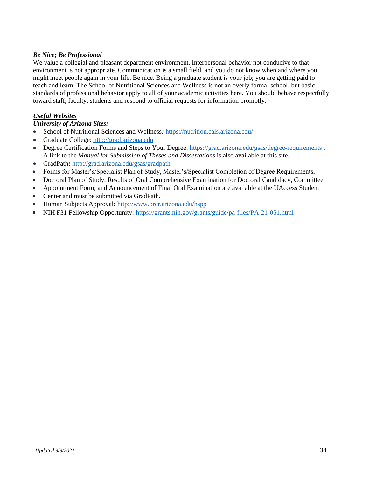# *Be Nice; Be Professional*

We value a collegial and pleasant department environment. Interpersonal behavior not conducive to that environment is not appropriate. Communication is a small field, and you do not know when and where you might meet people again in your life. Be nice. Being a graduate student is your job; you are getting paid to teach and learn. The School of Nutritional Sciences and Wellness is not an overly formal school, but basic standards of professional behavior apply to all of your academic activities here. You should behave respectfully toward staff, faculty, students and respond to official requests for information promptly.

# *Useful Websites*

#### *University of Arizona Sites:*

- School of Nutritional Sciences and Wellness*:* <https://nutrition.cals.arizona.edu/>
- Graduate College: [http://grad.arizona.edu](http://grad.arizona.edu/)
- Degree Certification Forms and Steps to Your Degree:<https://grad.arizona.edu/gsas/degree-requirements> . A link to the *Manual for Submission of Theses and Dissertations* is also available at this site.
- GradPath**:** <http://grad.arizona.edu/gsas/gradpath>
- Forms for Master's/Specialist Plan of Study, Master's/Specialist Completion of Degree Requirements,
- Doctoral Plan of Study, Results of Oral Comprehensive Examination for Doctoral Candidacy, Committee
- Appointment Form, and Announcement of Final Oral Examination are available at the UAccess Student
- Center and must be submitted via GradPath**.**
- Human Subjects Approval**:** <http://www.orcr.arizona.edu/hspp>
- NIH F31 Fellowship Opportunity: <https://grants.nih.gov/grants/guide/pa-files/PA-21-051.html>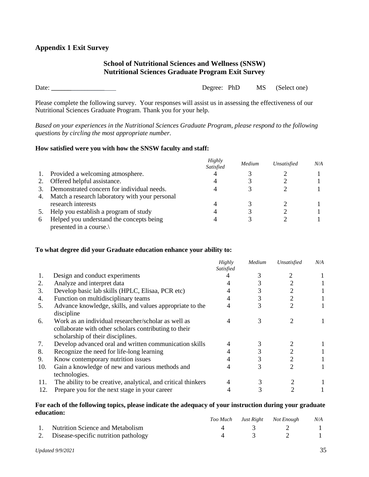# **School of Nutritional Sciences and Wellness (SNSW) Nutritional Sciences Graduate Program Exit Survey**

| Date: | Degree: PhD |  | MS (Select one) |
|-------|-------------|--|-----------------|
|-------|-------------|--|-----------------|

Please complete the following survey. Your responses will assist us in assessing the effectiveness of our Nutritional Sciences Graduate Program. Thank you for your help.

*Based on your experiences in the Nutritional Sciences Graduate Program, please respond to the following questions by circling the most appropriate number.*

#### **How satisfied were you with how the SNSW faculty and staff:**

|    |                                                   | Highly<br>Satisfied | Medium | Unsatisfied | N/A |
|----|---------------------------------------------------|---------------------|--------|-------------|-----|
| 1. | Provided a welcoming atmosphere.                  | 4                   |        |             |     |
|    | Offered helpful assistance.                       |                     |        |             |     |
|    | Demonstrated concern for individual needs.        |                     |        |             |     |
|    | 4. Match a research laboratory with your personal |                     |        |             |     |
|    | research interests                                | 4                   |        |             |     |
|    | Help you establish a program of study             |                     |        |             |     |
| 6  | Helped you understand the concepts being          |                     |        |             |     |
|    | presented in a course.                            |                     |        |             |     |

#### **To what degree did your Graduate education enhance your ability to:**

|     |                                                                                                                                                   | Highly<br>Satisfied | Medium | Unsatisfied | N/A |
|-----|---------------------------------------------------------------------------------------------------------------------------------------------------|---------------------|--------|-------------|-----|
| 1.  | Design and conduct experiments                                                                                                                    |                     |        |             |     |
| 2.  | Analyze and interpret data                                                                                                                        |                     |        |             |     |
| 3.  | Develop basic lab skills (HPLC, Elisaa, PCR etc)                                                                                                  |                     |        |             |     |
| 4.  | Function on multidisciplinary teams                                                                                                               |                     |        | 2           |     |
| 5.  | Advance knowledge, skills, and values appropriate to the<br>discipline                                                                            |                     | 3      | 2           |     |
| 6.  | Work as an individual researcher/scholar as well as<br>collaborate with other scholars contributing to their<br>scholarship of their disciplines. |                     |        |             |     |
| 7.  | Develop advanced oral and written communication skills                                                                                            |                     |        |             |     |
| 8.  | Recognize the need for life-long learning                                                                                                         |                     |        |             |     |
| 9.  | Know contemporary nutrition issues                                                                                                                |                     |        |             |     |
| 10. | Gain a knowledge of new and various methods and<br>technologies.                                                                                  |                     |        | 2           |     |
| 11. | The ability to be creative, analytical, and critical thinkers                                                                                     |                     |        |             |     |
| 12. | Prepare you for the next stage in your career                                                                                                     |                     |        |             |     |

#### **For each of the following topics, please indicate the adequacy of your instruction during your graduate education:**

|                                         |  | Too Much Just Right Not Enough | $N\!/\!A$ |
|-----------------------------------------|--|--------------------------------|-----------|
| 1. Nutrition Science and Metabolism     |  |                                |           |
| 2. Disease-specific nutrition pathology |  |                                |           |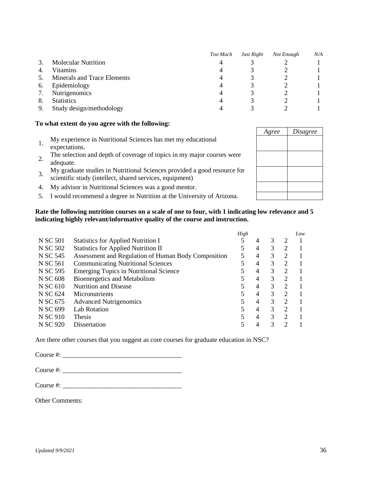|    |                             | Too Much | Just Right | Not Enough | N/A |
|----|-----------------------------|----------|------------|------------|-----|
|    | <b>Molecular Nutrition</b>  | 4        |            |            |     |
|    | Vitamins                    |          |            |            |     |
|    | Minerals and Trace Elements |          |            |            |     |
| 6. | Epidemiology                | 4        |            |            |     |
|    | Nutrigenomics               | 4        |            |            |     |
|    | <b>Statistics</b>           |          |            |            |     |
| 9. | Study design/methodology    |          |            |            |     |

#### **To what extent do you agree with the following:**

- 1. My experience in Nutritional Sciences has met my educational expectations.
- 2. The selection and depth of coverage of topics in my major courses were adequate.
- 3. My graduate studies in Nutritional Sciences provided a good resource for scientific study (intellect, shared services, equipment)
- 4. My advisor in Nutritional Sciences was a good mentor.
- 5. I would recommend a degree in Nutrition at the University of Arizona.

#### **Rate the following nutrition courses on a scale of one to four, with 1 indicating low relevance and 5 indicating highly relevant/informative quality of the course and instruction.**

|          |                                                     | High |   |   |                             | Low |
|----------|-----------------------------------------------------|------|---|---|-----------------------------|-----|
| N SC 501 | <b>Statistics for Applied Nutrition I</b>           |      | 4 | 3 |                             |     |
| N SC 502 | <b>Statistics for Applied Nutrition II</b>          |      | 4 | 3 | 2                           |     |
| N SC 545 | Assessment and Regulation of Human Body Composition | 5    | 4 | 3 | 2                           |     |
| N SC 561 | <b>Communicating Nutritional Sciences</b>           |      | 4 | 3 | 2                           |     |
| N SC 595 | <b>Emerging Topics in Nutritional Science</b>       |      | 4 | 3 | $\overline{2}$              |     |
| N SC 608 | Bioenergetics and Metabolism                        |      | 4 | 3 | $\mathcal{D}_{\mathcal{L}}$ |     |
| N SC 610 | <b>Nutrition and Disease</b>                        |      | 4 | 3 | $\mathcal{D}$               |     |
| N SC 624 | Micronutrients                                      |      | 4 | 3 | $\mathcal{D}_{\mathcal{L}}$ |     |
| N SC 675 | <b>Advanced Nutrigenomics</b>                       |      | 4 | 3 | $\overline{2}$              |     |
| N SC 699 | <b>Lab Rotation</b>                                 |      | 4 | 3 | $\mathcal{D}$               |     |
| N SC 910 | <b>Thesis</b>                                       |      | 4 | 3 | $\mathcal{D}$               |     |
| N SC 920 | Dissertation                                        |      |   |   | ⌒                           |     |

Are there other courses that you suggest as core courses for graduate education in NSC?

Course #: \_\_\_\_\_\_\_\_\_\_\_\_\_\_\_\_\_\_\_\_\_\_\_\_\_\_\_\_\_\_\_\_\_\_\_\_

Course #:

Course #:

Other Comments:

| Agree | Disagree |
|-------|----------|
|       |          |
|       |          |
|       |          |
|       |          |
|       |          |
|       |          |
|       |          |
|       |          |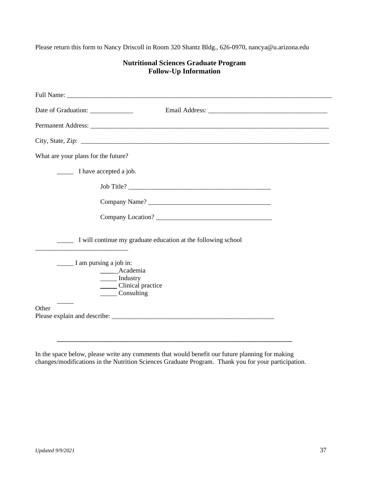Please return this form to Nancy Driscoll in Room 320 Shantz Bldg., 626-0970, nancya@u.arizona.edu

|                                                                                                                                                                                                                                                                                                                                                                                                                                                                                                               | <b>Follow-Up Information</b>                                  |  |
|---------------------------------------------------------------------------------------------------------------------------------------------------------------------------------------------------------------------------------------------------------------------------------------------------------------------------------------------------------------------------------------------------------------------------------------------------------------------------------------------------------------|---------------------------------------------------------------|--|
|                                                                                                                                                                                                                                                                                                                                                                                                                                                                                                               |                                                               |  |
|                                                                                                                                                                                                                                                                                                                                                                                                                                                                                                               |                                                               |  |
|                                                                                                                                                                                                                                                                                                                                                                                                                                                                                                               |                                                               |  |
|                                                                                                                                                                                                                                                                                                                                                                                                                                                                                                               | City, State, Zip: $\overline{\phantom{a}}$                    |  |
| What are your plans for the future?                                                                                                                                                                                                                                                                                                                                                                                                                                                                           |                                                               |  |
| I have accepted a job.                                                                                                                                                                                                                                                                                                                                                                                                                                                                                        |                                                               |  |
|                                                                                                                                                                                                                                                                                                                                                                                                                                                                                                               |                                                               |  |
|                                                                                                                                                                                                                                                                                                                                                                                                                                                                                                               |                                                               |  |
|                                                                                                                                                                                                                                                                                                                                                                                                                                                                                                               |                                                               |  |
|                                                                                                                                                                                                                                                                                                                                                                                                                                                                                                               | I will continue my graduate education at the following school |  |
| $\frac{1}{\sqrt{1 - \frac{1}{\sqrt{1 - \frac{1}{\sqrt{1 - \frac{1}{\sqrt{1 - \frac{1}{\sqrt{1 - \frac{1}{\sqrt{1 - \frac{1}{\sqrt{1 - \frac{1}{\sqrt{1 - \frac{1}{\sqrt{1 - \frac{1}{\sqrt{1 - \frac{1}{\sqrt{1 - \frac{1}{\sqrt{1 - \frac{1}{\sqrt{1 - \frac{1}{\sqrt{1 - \frac{1}{\sqrt{1 - \frac{1}{\sqrt{1 - \frac{1}{\sqrt{1 - \frac{1}{\sqrt{1 - \frac{1}{\sqrt{1 - \frac{1}{\sqrt{1 - \frac{1}{\sqrt{1 - \frac{1}{\sqrt{1 -$<br>______ Academia<br>_______ Industry<br>Clinical practice<br>Consulting |                                                               |  |
| Other                                                                                                                                                                                                                                                                                                                                                                                                                                                                                                         |                                                               |  |

# **Nutritional Sciences Graduate Program**

In the space below, please write any comments that would benefit our future planning for making changes/modifications in the Nutrition Sciences Graduate Program. Thank you for your participation.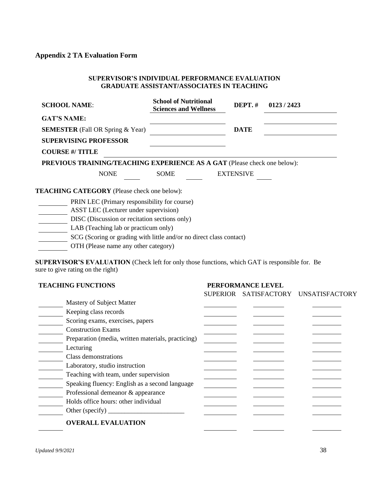# **Appendix 2 TA Evaluation Form**

#### **SUPERVISOR'S INDIVIDUAL PERFORMANCE EVALUATION GRADUATE ASSISTANT/ASSOCIATES IN TEACHING**

| <b>SCHOOL NAME:</b>                                |                                       | <b>School of Nutritional</b><br><b>Sciences and Wellness</b>             | DEPT. $#$        | 0123/2423 |
|----------------------------------------------------|---------------------------------------|--------------------------------------------------------------------------|------------------|-----------|
| <b>GAT'S NAME:</b>                                 |                                       |                                                                          |                  |           |
| <b>SEMESTER</b> (Fall OR Spring & Year)            |                                       |                                                                          | <b>DATE</b>      |           |
| <b>SUPERVISING PROFESSOR</b>                       |                                       |                                                                          |                  |           |
| <b>COURSE #/ TITLE</b>                             |                                       |                                                                          |                  |           |
|                                                    |                                       | PREVIOUS TRAINING/TEACHING EXPERIENCE AS A GAT (Please check one below): |                  |           |
|                                                    | <b>NONE</b>                           | <b>SOME</b>                                                              | <b>EXTENSIVE</b> |           |
| <b>TEACHING CATEGORY</b> (Please check one below): |                                       |                                                                          |                  |           |
|                                                    |                                       | PRIN LEC (Primary responsibility for course)                             |                  |           |
|                                                    | ASST LEC (Lecturer under supervision) |                                                                          |                  |           |
|                                                    |                                       | DISC (Discussion or recitation sections only)                            |                  |           |
|                                                    | LAB (Teaching lab or practicum only)  |                                                                          |                  |           |
|                                                    |                                       | SCG (Scoring or grading with little and/or no direct class contact)      |                  |           |
|                                                    |                                       |                                                                          |                  |           |

OTH (Please name any other category)

**SUPERVISOR'S EVALUATION** (Check left for only those functions, which GAT is responsible for. Be sure to give rating on the right)

| <b>TEACHING FUNCTIONS</b>                                                          |                 | PERFORMANCE LEVEL |                |
|------------------------------------------------------------------------------------|-----------------|-------------------|----------------|
|                                                                                    | <b>SUPERIOR</b> | SATISFACTORY      | UNSATISFACTORY |
| Mastery of Subject Matter                                                          |                 |                   |                |
| Keeping class records                                                              |                 |                   |                |
| Scoring exams, exercises, papers                                                   |                 |                   |                |
| <b>Construction Exams</b>                                                          |                 |                   |                |
| Preparation (media, written materials, practicing)                                 |                 |                   |                |
| Lecturing                                                                          |                 |                   |                |
| Class demonstrations                                                               |                 |                   |                |
| Laboratory, studio instruction                                                     |                 |                   |                |
| Teaching with team, under supervision                                              |                 |                   |                |
| Speaking fluency: English as a second language                                     |                 |                   |                |
| Professional demeanor & appearance                                                 |                 |                   |                |
| Holds office hours: other individual                                               |                 |                   |                |
| Other (specify) $\_\_\_\_\_\_\_\_\_\_\_\_\_\_\_\_\_\_\_\_\_\_\_\_\_\_\_\_\_\_\_\_$ |                 |                   |                |
| <b>OVERALL EVALUATION</b>                                                          |                 |                   |                |